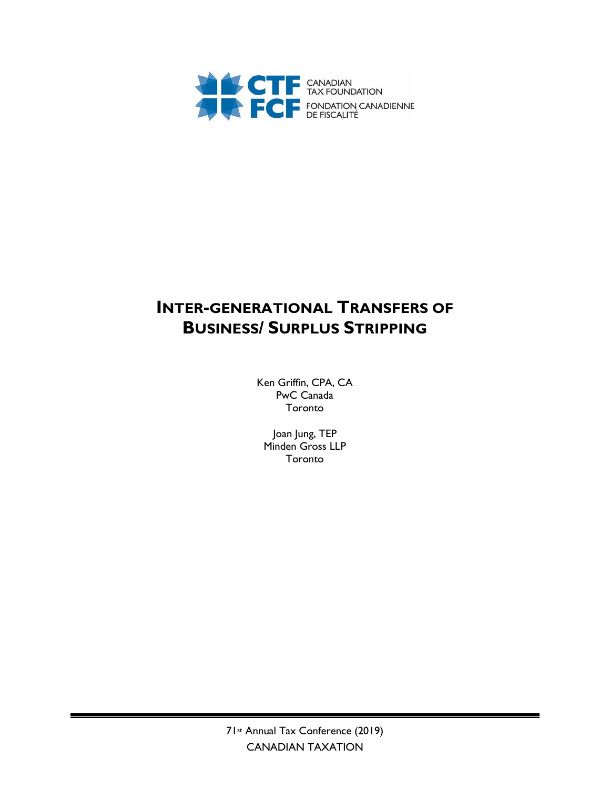

# **INTER-GENERATIONAL TRANSFERS OF BUSINESS/ SURPLUS STRIPPING**

Ken Griffin, CPA, CA PwC Canada Toronto

Joan Jung, TEP Minden Gross LLP Toronto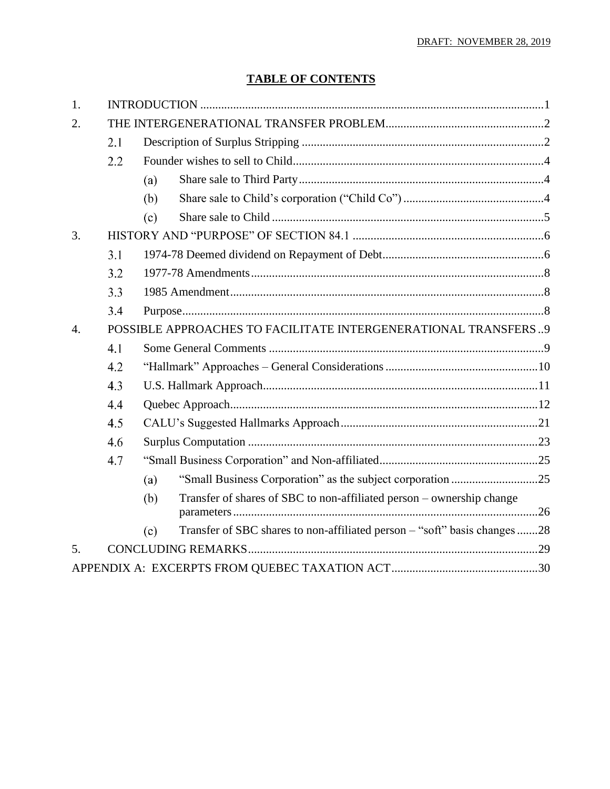## **TABLE OF CONTENTS**

| 1.               |                                                                |     |                                                                           |  |  |
|------------------|----------------------------------------------------------------|-----|---------------------------------------------------------------------------|--|--|
| 2.               |                                                                |     |                                                                           |  |  |
|                  | 2.1                                                            |     |                                                                           |  |  |
|                  | 2.2                                                            |     |                                                                           |  |  |
|                  |                                                                | (a) |                                                                           |  |  |
|                  |                                                                | (b) |                                                                           |  |  |
|                  |                                                                | (c) |                                                                           |  |  |
| 3.               |                                                                |     |                                                                           |  |  |
|                  | 3.1                                                            |     |                                                                           |  |  |
|                  | 3.2                                                            |     |                                                                           |  |  |
|                  | 3.3                                                            |     |                                                                           |  |  |
|                  | 3.4                                                            |     |                                                                           |  |  |
| $\overline{4}$ . | POSSIBLE APPROACHES TO FACILITATE INTERGENERATIONAL TRANSFERS9 |     |                                                                           |  |  |
|                  | 4.1                                                            |     |                                                                           |  |  |
|                  | 4.2                                                            |     |                                                                           |  |  |
|                  | 4.3                                                            |     |                                                                           |  |  |
|                  | 4.4                                                            |     |                                                                           |  |  |
|                  | 4.5                                                            |     |                                                                           |  |  |
|                  | 4.6                                                            |     |                                                                           |  |  |
|                  | 4.7                                                            |     |                                                                           |  |  |
|                  |                                                                | (a) | "Small Business Corporation" as the subject corporation 25                |  |  |
|                  |                                                                | (b) | Transfer of shares of SBC to non-affiliated person - ownership change     |  |  |
|                  |                                                                | (c) | Transfer of SBC shares to non-affiliated person - "soft" basis changes 28 |  |  |
| 5.               |                                                                |     |                                                                           |  |  |
|                  |                                                                |     |                                                                           |  |  |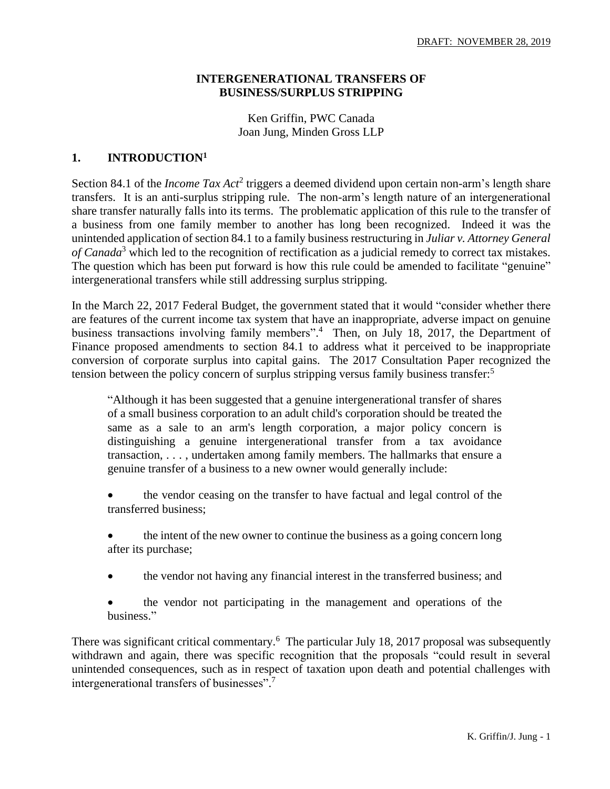### **INTERGENERATIONAL TRANSFERS OF BUSINESS/SURPLUS STRIPPING**

Ken Griffin, PWC Canada Joan Jung, Minden Gross LLP

### **1. INTRODUCTION<sup>1</sup>**

Section 84.1 of the *Income Tax Act*<sup>2</sup> triggers a deemed dividend upon certain non-arm's length share transfers. It is an anti-surplus stripping rule. The non-arm's length nature of an intergenerational share transfer naturally falls into its terms. The problematic application of this rule to the transfer of a business from one family member to another has long been recognized. Indeed it was the unintended application of section 84.1 to a family business restructuring in *Juliar v. Attorney General of Canada*<sup>3</sup> which led to the recognition of rectification as a judicial remedy to correct tax mistakes. The question which has been put forward is how this rule could be amended to facilitate "genuine" intergenerational transfers while still addressing surplus stripping.

In the March 22, 2017 Federal Budget, the government stated that it would "consider whether there are features of the current income tax system that have an inappropriate, adverse impact on genuine business transactions involving family members".<sup>4</sup> Then, on July 18, 2017, the Department of Finance proposed amendments to section 84.1 to address what it perceived to be inappropriate conversion of corporate surplus into capital gains. The 2017 Consultation Paper recognized the tension between the policy concern of surplus stripping versus family business transfer:<sup>5</sup>

"Although it has been suggested that a genuine intergenerational transfer of shares of a small business corporation to an adult child's corporation should be treated the same as a sale to an arm's length corporation, a major policy concern is distinguishing a genuine intergenerational transfer from a tax avoidance transaction, . . . , undertaken among family members. The hallmarks that ensure a genuine transfer of a business to a new owner would generally include:

- the vendor ceasing on the transfer to have factual and legal control of the transferred business;
- the intent of the new owner to continue the business as a going concern long after its purchase;
- the vendor not having any financial interest in the transferred business; and

• the vendor not participating in the management and operations of the business."

There was significant critical commentary.<sup>6</sup> The particular July 18, 2017 proposal was subsequently withdrawn and again, there was specific recognition that the proposals "could result in several unintended consequences, such as in respect of taxation upon death and potential challenges with intergenerational transfers of businesses". 7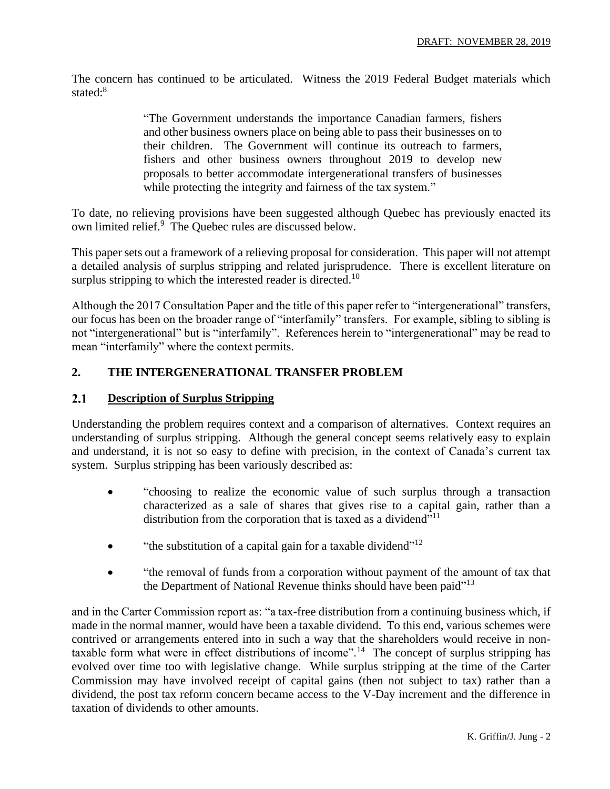The concern has continued to be articulated. Witness the 2019 Federal Budget materials which stated:<sup>8</sup>

> "The Government understands the importance Canadian farmers, fishers and other business owners place on being able to pass their businesses on to their children. The Government will continue its outreach to farmers, fishers and other business owners throughout 2019 to develop new proposals to better accommodate intergenerational transfers of businesses while protecting the integrity and fairness of the tax system."

To date, no relieving provisions have been suggested although Quebec has previously enacted its own limited relief.<sup>9</sup> The Quebec rules are discussed below.

This paper sets out a framework of a relieving proposal for consideration. This paper will not attempt a detailed analysis of surplus stripping and related jurisprudence. There is excellent literature on surplus stripping to which the interested reader is directed.<sup>10</sup>

Although the 2017 Consultation Paper and the title of this paper refer to "intergenerational" transfers, our focus has been on the broader range of "interfamily" transfers. For example, sibling to sibling is not "intergenerational" but is "interfamily". References herein to "intergenerational" may be read to mean "interfamily" where the context permits.

### **2. THE INTERGENERATIONAL TRANSFER PROBLEM**

#### $2.1$ **Description of Surplus Stripping**

Understanding the problem requires context and a comparison of alternatives. Context requires an understanding of surplus stripping. Although the general concept seems relatively easy to explain and understand, it is not so easy to define with precision, in the context of Canada's current tax system. Surplus stripping has been variously described as:

- "choosing to realize the economic value of such surplus through a transaction characterized as a sale of shares that gives rise to a capital gain, rather than a distribution from the corporation that is taxed as a dividend"<sup>11</sup>
- "the substitution of a capital gain for a taxable dividend"<sup>12</sup>
- "the removal of funds from a corporation without payment of the amount of tax that the Department of National Revenue thinks should have been paid"<sup>13</sup>

and in the Carter Commission report as: "a tax-free distribution from a continuing business which, if made in the normal manner, would have been a taxable dividend. To this end, various schemes were contrived or arrangements entered into in such a way that the shareholders would receive in nontaxable form what were in effect distributions of income".<sup>14</sup> The concept of surplus stripping has evolved over time too with legislative change. While surplus stripping at the time of the Carter Commission may have involved receipt of capital gains (then not subject to tax) rather than a dividend, the post tax reform concern became access to the V-Day increment and the difference in taxation of dividends to other amounts.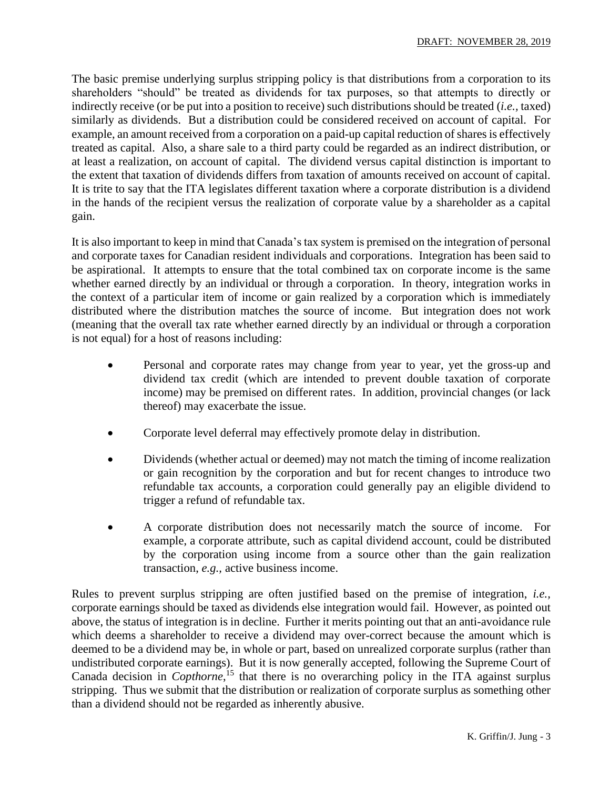The basic premise underlying surplus stripping policy is that distributions from a corporation to its shareholders "should" be treated as dividends for tax purposes, so that attempts to directly or indirectly receive (or be put into a position to receive) such distributions should be treated (*i.e.,* taxed) similarly as dividends. But a distribution could be considered received on account of capital. For example, an amount received from a corporation on a paid-up capital reduction of shares is effectively treated as capital. Also, a share sale to a third party could be regarded as an indirect distribution, or at least a realization, on account of capital. The dividend versus capital distinction is important to the extent that taxation of dividends differs from taxation of amounts received on account of capital. It is trite to say that the ITA legislates different taxation where a corporate distribution is a dividend in the hands of the recipient versus the realization of corporate value by a shareholder as a capital gain.

It is also important to keep in mind that Canada's tax system is premised on the integration of personal and corporate taxes for Canadian resident individuals and corporations. Integration has been said to be aspirational. It attempts to ensure that the total combined tax on corporate income is the same whether earned directly by an individual or through a corporation. In theory, integration works in the context of a particular item of income or gain realized by a corporation which is immediately distributed where the distribution matches the source of income. But integration does not work (meaning that the overall tax rate whether earned directly by an individual or through a corporation is not equal) for a host of reasons including:

- Personal and corporate rates may change from year to year, yet the gross-up and dividend tax credit (which are intended to prevent double taxation of corporate income) may be premised on different rates. In addition, provincial changes (or lack thereof) may exacerbate the issue.
- Corporate level deferral may effectively promote delay in distribution.
- Dividends (whether actual or deemed) may not match the timing of income realization or gain recognition by the corporation and but for recent changes to introduce two refundable tax accounts, a corporation could generally pay an eligible dividend to trigger a refund of refundable tax.
- A corporate distribution does not necessarily match the source of income. For example, a corporate attribute, such as capital dividend account, could be distributed by the corporation using income from a source other than the gain realization transaction, *e.g.,* active business income.

Rules to prevent surplus stripping are often justified based on the premise of integration, *i.e.,* corporate earnings should be taxed as dividends else integration would fail. However, as pointed out above, the status of integration is in decline. Further it merits pointing out that an anti-avoidance rule which deems a shareholder to receive a dividend may over-correct because the amount which is deemed to be a dividend may be, in whole or part, based on unrealized corporate surplus (rather than undistributed corporate earnings). But it is now generally accepted, following the Supreme Court of Canada decision in *Copthorne*, <sup>15</sup> that there is no overarching policy in the ITA against surplus stripping. Thus we submit that the distribution or realization of corporate surplus as something other than a dividend should not be regarded as inherently abusive.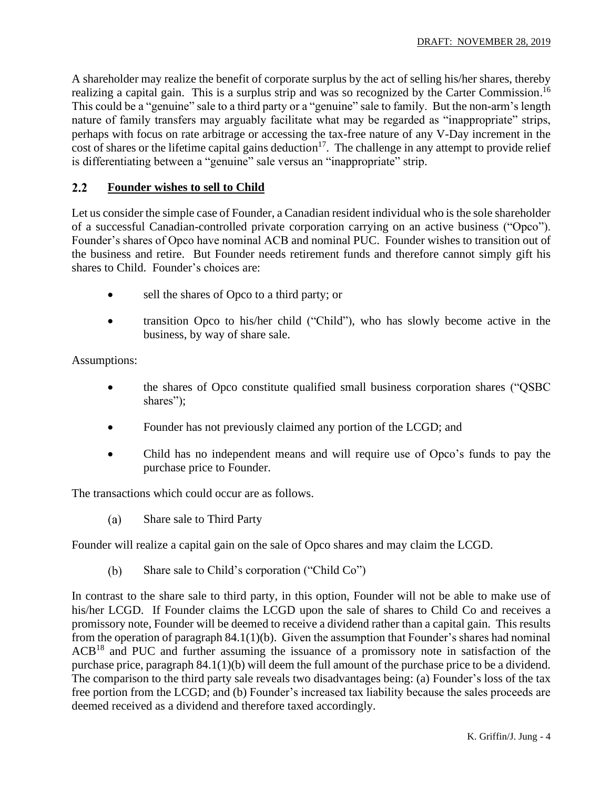A shareholder may realize the benefit of corporate surplus by the act of selling his/her shares, thereby realizing a capital gain. This is a surplus strip and was so recognized by the Carter Commission.<sup>16</sup> This could be a "genuine" sale to a third party or a "genuine" sale to family. But the non-arm's length nature of family transfers may arguably facilitate what may be regarded as "inappropriate" strips, perhaps with focus on rate arbitrage or accessing the tax-free nature of any V-Day increment in the cost of shares or the lifetime capital gains deduction<sup>17</sup>. The challenge in any attempt to provide relief is differentiating between a "genuine" sale versus an "inappropriate" strip.

#### $2.2$ **Founder wishes to sell to Child**

Let us consider the simple case of Founder, a Canadian resident individual who is the sole shareholder of a successful Canadian-controlled private corporation carrying on an active business ("Opco"). Founder's shares of Opco have nominal ACB and nominal PUC. Founder wishes to transition out of the business and retire. But Founder needs retirement funds and therefore cannot simply gift his shares to Child. Founder's choices are:

- sell the shares of Opco to a third party; or
- transition Opco to his/her child ("Child"), who has slowly become active in the business, by way of share sale.

Assumptions:

- the shares of Opco constitute qualified small business corporation shares ("QSBC shares");
- Founder has not previously claimed any portion of the LCGD; and
- Child has no independent means and will require use of Opco's funds to pay the purchase price to Founder.

The transactions which could occur are as follows.

 $(a)$ Share sale to Third Party

Founder will realize a capital gain on the sale of Opco shares and may claim the LCGD.

 $(b)$ Share sale to Child's corporation ("Child Co")

In contrast to the share sale to third party, in this option, Founder will not be able to make use of his/her LCGD. If Founder claims the LCGD upon the sale of shares to Child Co and receives a promissory note, Founder will be deemed to receive a dividend rather than a capital gain. This results from the operation of paragraph 84.1(1)(b). Given the assumption that Founder's shares had nominal  $ACB<sup>18</sup>$  and PUC and further assuming the issuance of a promissory note in satisfaction of the purchase price, paragraph 84.1(1)(b) will deem the full amount of the purchase price to be a dividend. The comparison to the third party sale reveals two disadvantages being: (a) Founder's loss of the tax free portion from the LCGD; and (b) Founder's increased tax liability because the sales proceeds are deemed received as a dividend and therefore taxed accordingly.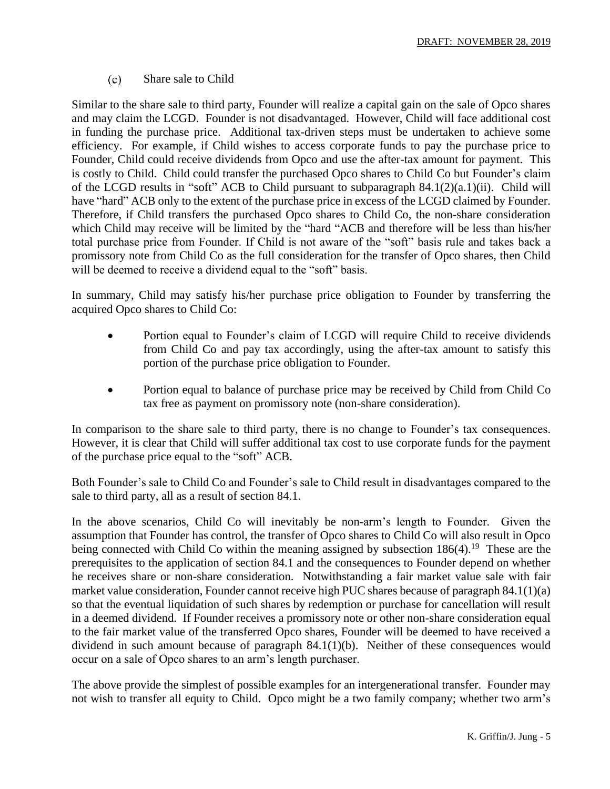$(c)$ Share sale to Child

Similar to the share sale to third party, Founder will realize a capital gain on the sale of Opco shares and may claim the LCGD. Founder is not disadvantaged. However, Child will face additional cost in funding the purchase price. Additional tax-driven steps must be undertaken to achieve some efficiency. For example, if Child wishes to access corporate funds to pay the purchase price to Founder, Child could receive dividends from Opco and use the after-tax amount for payment. This is costly to Child. Child could transfer the purchased Opco shares to Child Co but Founder's claim of the LCGD results in "soft" ACB to Child pursuant to subparagraph 84.1(2)(a.1)(ii). Child will have "hard" ACB only to the extent of the purchase price in excess of the LCGD claimed by Founder. Therefore, if Child transfers the purchased Opco shares to Child Co, the non-share consideration which Child may receive will be limited by the "hard "ACB and therefore will be less than his/her total purchase price from Founder. If Child is not aware of the "soft" basis rule and takes back a promissory note from Child Co as the full consideration for the transfer of Opco shares, then Child will be deemed to receive a dividend equal to the "soft" basis.

In summary, Child may satisfy his/her purchase price obligation to Founder by transferring the acquired Opco shares to Child Co:

- Portion equal to Founder's claim of LCGD will require Child to receive dividends from Child Co and pay tax accordingly, using the after-tax amount to satisfy this portion of the purchase price obligation to Founder.
- Portion equal to balance of purchase price may be received by Child from Child Co tax free as payment on promissory note (non-share consideration).

In comparison to the share sale to third party, there is no change to Founder's tax consequences. However, it is clear that Child will suffer additional tax cost to use corporate funds for the payment of the purchase price equal to the "soft" ACB.

Both Founder's sale to Child Co and Founder's sale to Child result in disadvantages compared to the sale to third party, all as a result of section 84.1.

In the above scenarios, Child Co will inevitably be non-arm's length to Founder. Given the assumption that Founder has control, the transfer of Opco shares to Child Co will also result in Opco being connected with Child Co within the meaning assigned by subsection  $186(4)$ .<sup>19</sup> These are the prerequisites to the application of section 84.1 and the consequences to Founder depend on whether he receives share or non-share consideration. Notwithstanding a fair market value sale with fair market value consideration, Founder cannot receive high PUC shares because of paragraph 84.1(1)(a) so that the eventual liquidation of such shares by redemption or purchase for cancellation will result in a deemed dividend. If Founder receives a promissory note or other non-share consideration equal to the fair market value of the transferred Opco shares, Founder will be deemed to have received a dividend in such amount because of paragraph 84.1(1)(b). Neither of these consequences would occur on a sale of Opco shares to an arm's length purchaser.

The above provide the simplest of possible examples for an intergenerational transfer. Founder may not wish to transfer all equity to Child. Opco might be a two family company; whether two arm's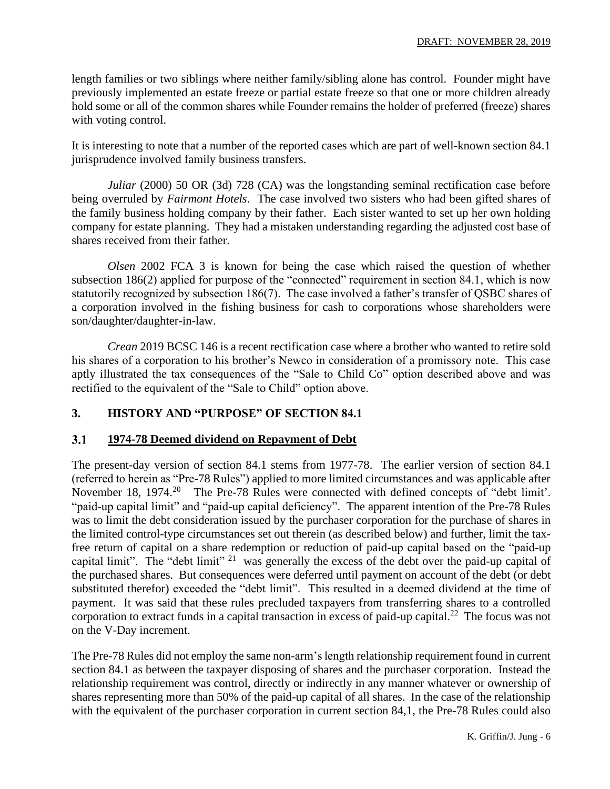length families or two siblings where neither family/sibling alone has control. Founder might have previously implemented an estate freeze or partial estate freeze so that one or more children already hold some or all of the common shares while Founder remains the holder of preferred (freeze) shares with voting control.

It is interesting to note that a number of the reported cases which are part of well-known section 84.1 jurisprudence involved family business transfers.

*Juliar* (2000) 50 OR (3d) 728 (CA) was the longstanding seminal rectification case before being overruled by *Fairmont Hotels*. The case involved two sisters who had been gifted shares of the family business holding company by their father. Each sister wanted to set up her own holding company for estate planning. They had a mistaken understanding regarding the adjusted cost base of shares received from their father.

*Olsen* 2002 FCA 3 is known for being the case which raised the question of whether subsection 186(2) applied for purpose of the "connected" requirement in section 84.1, which is now statutorily recognized by subsection 186(7). The case involved a father's transfer of QSBC shares of a corporation involved in the fishing business for cash to corporations whose shareholders were son/daughter/daughter-in-law.

*Crean* 2019 BCSC 146 is a recent rectification case where a brother who wanted to retire sold his shares of a corporation to his brother's Newco in consideration of a promissory note. This case aptly illustrated the tax consequences of the "Sale to Child Co" option described above and was rectified to the equivalent of the "Sale to Child" option above.

### **3. HISTORY AND "PURPOSE" OF SECTION 84.1**

#### **1974-78 Deemed dividend on Repayment of Debt**  $3.1$

The present-day version of section 84.1 stems from 1977-78. The earlier version of section 84.1 (referred to herein as "Pre-78 Rules") applied to more limited circumstances and was applicable after November 18, 1974.<sup>20</sup> The Pre-78 Rules were connected with defined concepts of "debt limit". "paid-up capital limit" and "paid-up capital deficiency". The apparent intention of the Pre-78 Rules was to limit the debt consideration issued by the purchaser corporation for the purchase of shares in the limited control-type circumstances set out therein (as described below) and further, limit the taxfree return of capital on a share redemption or reduction of paid-up capital based on the "paid-up capital limit". The "debt limit"  $21$  was generally the excess of the debt over the paid-up capital of the purchased shares. But consequences were deferred until payment on account of the debt (or debt substituted therefor) exceeded the "debt limit". This resulted in a deemed dividend at the time of payment. It was said that these rules precluded taxpayers from transferring shares to a controlled corporation to extract funds in a capital transaction in excess of paid-up capital.<sup>22</sup> The focus was not on the V-Day increment.

The Pre-78 Rules did not employ the same non-arm's length relationship requirement found in current section 84.1 as between the taxpayer disposing of shares and the purchaser corporation. Instead the relationship requirement was control, directly or indirectly in any manner whatever or ownership of shares representing more than 50% of the paid-up capital of all shares. In the case of the relationship with the equivalent of the purchaser corporation in current section 84,1, the Pre-78 Rules could also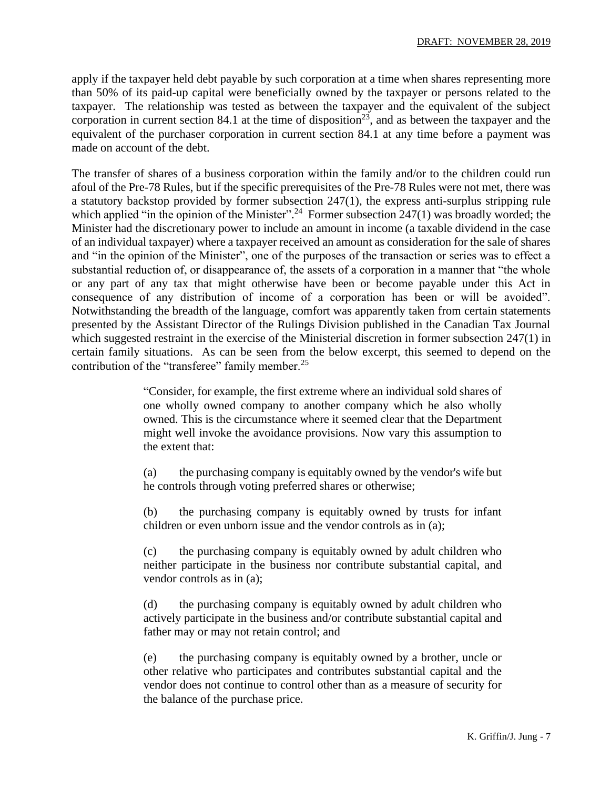apply if the taxpayer held debt payable by such corporation at a time when shares representing more than 50% of its paid-up capital were beneficially owned by the taxpayer or persons related to the taxpayer. The relationship was tested as between the taxpayer and the equivalent of the subject corporation in current section 84.1 at the time of disposition<sup>23</sup>, and as between the taxpayer and the equivalent of the purchaser corporation in current section 84.1 at any time before a payment was made on account of the debt.

The transfer of shares of a business corporation within the family and/or to the children could run afoul of the Pre-78 Rules, but if the specific prerequisites of the Pre-78 Rules were not met, there was a statutory backstop provided by former subsection 247(1), the express anti-surplus stripping rule which applied "in the opinion of the Minister".<sup>24</sup> Former subsection  $247(1)$  was broadly worded; the Minister had the discretionary power to include an amount in income (a taxable dividend in the case of an individual taxpayer) where a taxpayer received an amount as consideration for the sale of shares and "in the opinion of the Minister", one of the purposes of the transaction or series was to effect a substantial reduction of, or disappearance of, the assets of a corporation in a manner that "the whole or any part of any tax that might otherwise have been or become payable under this Act in consequence of any distribution of income of a corporation has been or will be avoided". Notwithstanding the breadth of the language, comfort was apparently taken from certain statements presented by the Assistant Director of the Rulings Division published in the Canadian Tax Journal which suggested restraint in the exercise of the Ministerial discretion in former subsection 247(1) in certain family situations. As can be seen from the below excerpt, this seemed to depend on the contribution of the "transferee" family member.<sup>25</sup>

> "Consider, for example, the first extreme where an individual sold shares of one wholly owned company to another company which he also wholly owned. This is the circumstance where it seemed clear that the Department might well invoke the avoidance provisions. Now vary this assumption to the extent that:

> (a) the purchasing company is equitably owned by the vendor's wife but he controls through voting preferred shares or otherwise;

> (b) the purchasing company is equitably owned by trusts for infant children or even unborn issue and the vendor controls as in (a);

> (c) the purchasing company is equitably owned by adult children who neither participate in the business nor contribute substantial capital, and vendor controls as in (a);

> (d) the purchasing company is equitably owned by adult children who actively participate in the business and/or contribute substantial capital and father may or may not retain control; and

> (e) the purchasing company is equitably owned by a brother, uncle or other relative who participates and contributes substantial capital and the vendor does not continue to control other than as a measure of security for the balance of the purchase price.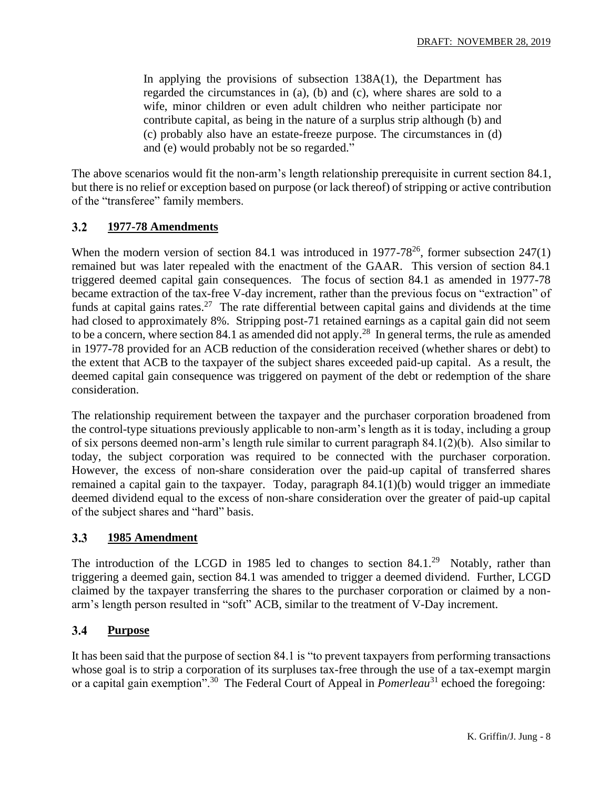In applying the provisions of subsection 138A(1), the Department has regarded the circumstances in (a), (b) and (c), where shares are sold to a wife, minor children or even adult children who neither participate nor contribute capital, as being in the nature of a surplus strip although (b) and (c) probably also have an estate-freeze purpose. The circumstances in (d) and (e) would probably not be so regarded."

The above scenarios would fit the non-arm's length relationship prerequisite in current section 84.1, but there is no relief or exception based on purpose (or lack thereof) of stripping or active contribution of the "transferee" family members.

#### $3.2$ **1977-78 Amendments**

When the modern version of section 84.1 was introduced in  $1977-78^{26}$ , former subsection  $247(1)$ remained but was later repealed with the enactment of the GAAR. This version of section 84.1 triggered deemed capital gain consequences. The focus of section 84.1 as amended in 1977-78 became extraction of the tax-free V-day increment, rather than the previous focus on "extraction" of funds at capital gains rates.<sup>27</sup> The rate differential between capital gains and dividends at the time had closed to approximately 8%. Stripping post-71 retained earnings as a capital gain did not seem to be a concern, where section 84.1 as amended did not apply.<sup>28</sup> In general terms, the rule as amended in 1977-78 provided for an ACB reduction of the consideration received (whether shares or debt) to the extent that ACB to the taxpayer of the subject shares exceeded paid-up capital. As a result, the deemed capital gain consequence was triggered on payment of the debt or redemption of the share consideration.

The relationship requirement between the taxpayer and the purchaser corporation broadened from the control-type situations previously applicable to non-arm's length as it is today, including a group of six persons deemed non-arm's length rule similar to current paragraph 84.1(2)(b). Also similar to today, the subject corporation was required to be connected with the purchaser corporation. However, the excess of non-share consideration over the paid-up capital of transferred shares remained a capital gain to the taxpayer. Today, paragraph 84.1(1)(b) would trigger an immediate deemed dividend equal to the excess of non-share consideration over the greater of paid-up capital of the subject shares and "hard" basis.

#### $3.3$ **1985 Amendment**

The introduction of the LCGD in 1985 led to changes to section  $84.1.^{29}$  Notably, rather than triggering a deemed gain, section 84.1 was amended to trigger a deemed dividend. Further, LCGD claimed by the taxpayer transferring the shares to the purchaser corporation or claimed by a nonarm's length person resulted in "soft" ACB, similar to the treatment of V-Day increment.

#### $3.4$ **Purpose**

It has been said that the purpose of section 84.1 is "to prevent taxpayers from performing transactions whose goal is to strip a corporation of its surpluses tax-free through the use of a tax-exempt margin or a capital gain exemption".<sup>30</sup> The Federal Court of Appeal in *Pomerleau*<sup>31</sup> echoed the foregoing: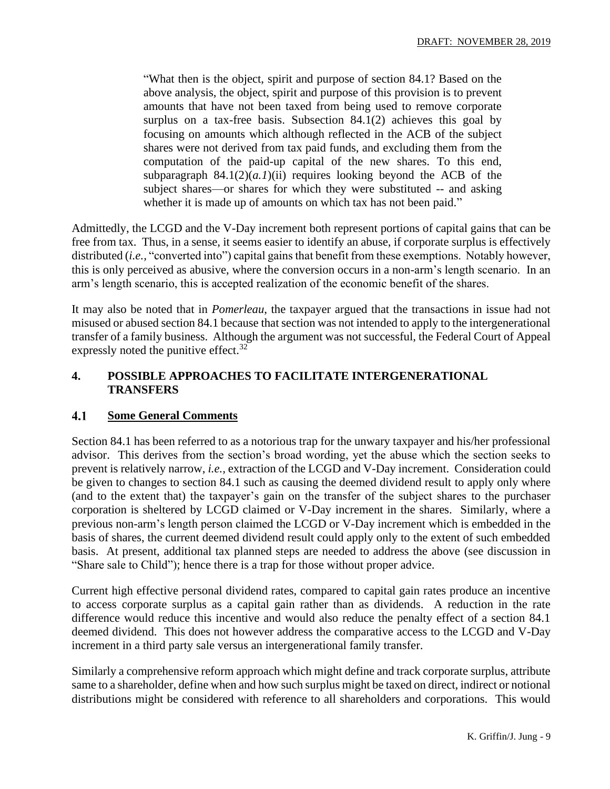"What then is the object, spirit and purpose of section 84.1? Based on the above analysis, the object, spirit and purpose of this provision is to prevent amounts that have not been taxed from being used to remove corporate surplus on a tax-free basis. Subsection 84.1(2) achieves this goal by focusing on amounts which although reflected in the ACB of the subject shares were not derived from tax paid funds, and excluding them from the computation of the paid-up capital of the new shares. To this end, subparagraph  $84.1(2)(a.1)$ (ii) requires looking beyond the ACB of the subject shares—or shares for which they were substituted -- and asking whether it is made up of amounts on which tax has not been paid."

Admittedly, the LCGD and the V-Day increment both represent portions of capital gains that can be free from tax. Thus, in a sense, it seems easier to identify an abuse, if corporate surplus is effectively distributed (*i.e.,* "converted into") capital gains that benefit from these exemptions. Notably however, this is only perceived as abusive, where the conversion occurs in a non-arm's length scenario. In an arm's length scenario, this is accepted realization of the economic benefit of the shares.

It may also be noted that in *Pomerleau*, the taxpayer argued that the transactions in issue had not misused or abused section 84.1 because that section was not intended to apply to the intergenerational transfer of a family business. Although the argument was not successful, the Federal Court of Appeal expressly noted the punitive effect.<sup>32</sup>

### **4. POSSIBLE APPROACHES TO FACILITATE INTERGENERATIONAL TRANSFERS**

#### 4.1 **Some General Comments**

Section 84.1 has been referred to as a notorious trap for the unwary taxpayer and his/her professional advisor. This derives from the section's broad wording, yet the abuse which the section seeks to prevent is relatively narrow, *i.e.,* extraction of the LCGD and V-Day increment. Consideration could be given to changes to section 84.1 such as causing the deemed dividend result to apply only where (and to the extent that) the taxpayer's gain on the transfer of the subject shares to the purchaser corporation is sheltered by LCGD claimed or V-Day increment in the shares. Similarly, where a previous non-arm's length person claimed the LCGD or V-Day increment which is embedded in the basis of shares, the current deemed dividend result could apply only to the extent of such embedded basis. At present, additional tax planned steps are needed to address the above (see discussion in "Share sale to Child"); hence there is a trap for those without proper advice.

Current high effective personal dividend rates, compared to capital gain rates produce an incentive to access corporate surplus as a capital gain rather than as dividends. A reduction in the rate difference would reduce this incentive and would also reduce the penalty effect of a section 84.1 deemed dividend. This does not however address the comparative access to the LCGD and V-Day increment in a third party sale versus an intergenerational family transfer.

Similarly a comprehensive reform approach which might define and track corporate surplus, attribute same to a shareholder, define when and how such surplus might be taxed on direct, indirect or notional distributions might be considered with reference to all shareholders and corporations. This would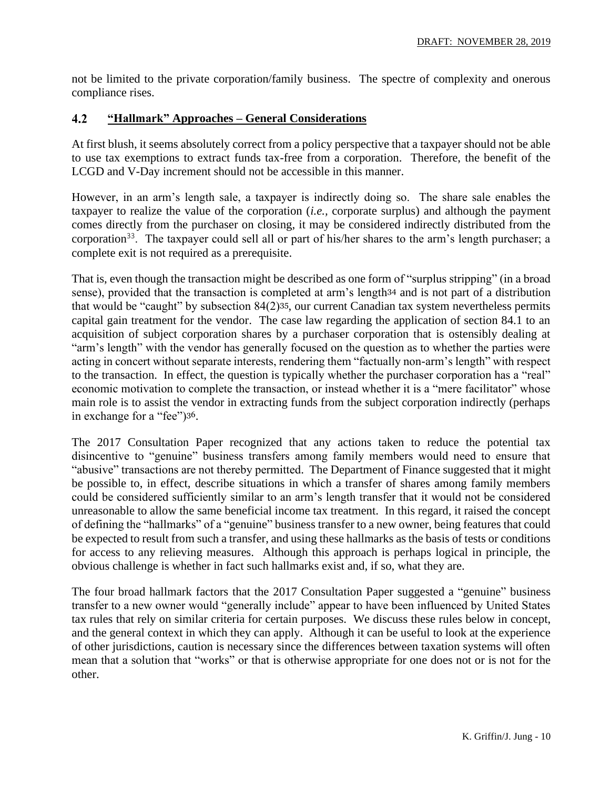not be limited to the private corporation/family business. The spectre of complexity and onerous compliance rises.

#### $4.2$ **"Hallmark" Approaches – General Considerations**

At first blush, it seems absolutely correct from a policy perspective that a taxpayer should not be able to use tax exemptions to extract funds tax-free from a corporation. Therefore, the benefit of the LCGD and V-Day increment should not be accessible in this manner.

However, in an arm's length sale, a taxpayer is indirectly doing so. The share sale enables the taxpayer to realize the value of the corporation (*i.e.,* corporate surplus) and although the payment comes directly from the purchaser on closing, it may be considered indirectly distributed from the corporation<sup>33</sup>. The taxpayer could sell all or part of his/her shares to the arm's length purchaser; a complete exit is not required as a prerequisite.

That is, even though the transaction might be described as one form of "surplus stripping" (in a broad sense), provided that the transaction is completed at arm's length<sup>34</sup> and is not part of a distribution that would be "caught" by subsection 84(2)35, our current Canadian tax system nevertheless permits capital gain treatment for the vendor. The case law regarding the application of section 84.1 to an acquisition of subject corporation shares by a purchaser corporation that is ostensibly dealing at "arm's length" with the vendor has generally focused on the question as to whether the parties were acting in concert without separate interests, rendering them "factually non-arm's length" with respect to the transaction. In effect, the question is typically whether the purchaser corporation has a "real" economic motivation to complete the transaction, or instead whether it is a "mere facilitator" whose main role is to assist the vendor in extracting funds from the subject corporation indirectly (perhaps in exchange for a "fee")36.

The 2017 Consultation Paper recognized that any actions taken to reduce the potential tax disincentive to "genuine" business transfers among family members would need to ensure that "abusive" transactions are not thereby permitted. The Department of Finance suggested that it might be possible to, in effect, describe situations in which a transfer of shares among family members could be considered sufficiently similar to an arm's length transfer that it would not be considered unreasonable to allow the same beneficial income tax treatment. In this regard, it raised the concept of defining the "hallmarks" of a "genuine" business transfer to a new owner, being features that could be expected to result from such a transfer, and using these hallmarks as the basis of tests or conditions for access to any relieving measures. Although this approach is perhaps logical in principle, the obvious challenge is whether in fact such hallmarks exist and, if so, what they are.

The four broad hallmark factors that the 2017 Consultation Paper suggested a "genuine" business transfer to a new owner would "generally include" appear to have been influenced by United States tax rules that rely on similar criteria for certain purposes. We discuss these rules below in concept, and the general context in which they can apply. Although it can be useful to look at the experience of other jurisdictions, caution is necessary since the differences between taxation systems will often mean that a solution that "works" or that is otherwise appropriate for one does not or is not for the other.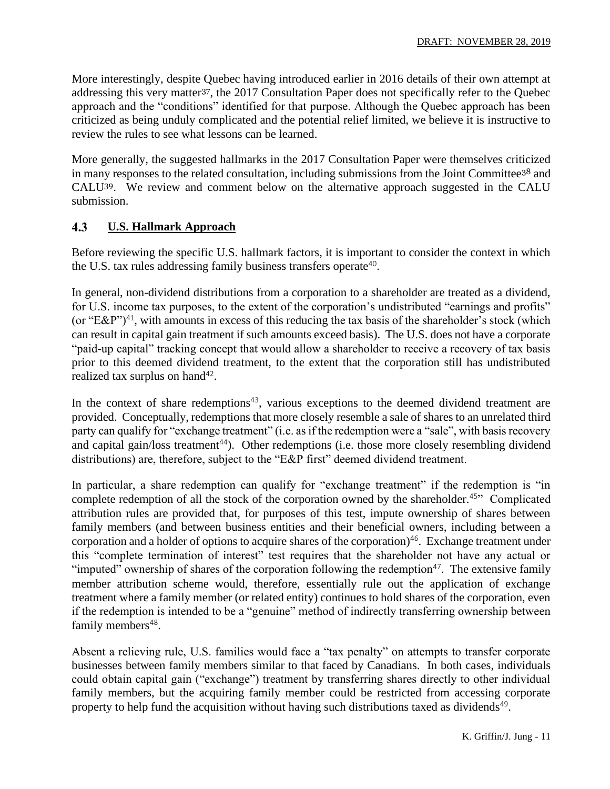More interestingly, despite Quebec having introduced earlier in 2016 details of their own attempt at addressing this very matter37, the 2017 Consultation Paper does not specifically refer to the Quebec approach and the "conditions" identified for that purpose. Although the Quebec approach has been criticized as being unduly complicated and the potential relief limited, we believe it is instructive to review the rules to see what lessons can be learned.

More generally, the suggested hallmarks in the 2017 Consultation Paper were themselves criticized in many responses to the related consultation, including submissions from the Joint Committee<sup>38</sup> and CALU39. We review and comment below on the alternative approach suggested in the CALU submission.

#### 4.3 **U.S. Hallmark Approach**

Before reviewing the specific U.S. hallmark factors, it is important to consider the context in which the U.S. tax rules addressing family business transfers operate<sup>40</sup>.

In general, non-dividend distributions from a corporation to a shareholder are treated as a dividend, for U.S. income tax purposes, to the extent of the corporation's undistributed "earnings and profits" (or "E&P")<sup>41</sup>, with amounts in excess of this reducing the tax basis of the shareholder's stock (which can result in capital gain treatment if such amounts exceed basis). The U.S. does not have a corporate "paid-up capital" tracking concept that would allow a shareholder to receive a recovery of tax basis prior to this deemed dividend treatment, to the extent that the corporation still has undistributed realized tax surplus on hand<sup>42</sup>.

In the context of share redemptions<sup>43</sup>, various exceptions to the deemed dividend treatment are provided. Conceptually, redemptions that more closely resemble a sale of shares to an unrelated third party can qualify for "exchange treatment" (i.e. as if the redemption were a "sale", with basis recovery and capital gain/loss treatment<sup>44</sup>). Other redemptions (i.e. those more closely resembling dividend distributions) are, therefore, subject to the "E&P first" deemed dividend treatment.

In particular, a share redemption can qualify for "exchange treatment" if the redemption is "in complete redemption of all the stock of the corporation owned by the shareholder.<sup>45"</sup> Complicated attribution rules are provided that, for purposes of this test, impute ownership of shares between family members (and between business entities and their beneficial owners, including between a corporation and a holder of options to acquire shares of the corporation)<sup>46</sup>. Exchange treatment under this "complete termination of interest" test requires that the shareholder not have any actual or "imputed" ownership of shares of the corporation following the redemption $47$ . The extensive family member attribution scheme would, therefore, essentially rule out the application of exchange treatment where a family member (or related entity) continues to hold shares of the corporation, even if the redemption is intended to be a "genuine" method of indirectly transferring ownership between family members<sup>48</sup>.

Absent a relieving rule, U.S. families would face a "tax penalty" on attempts to transfer corporate businesses between family members similar to that faced by Canadians. In both cases, individuals could obtain capital gain ("exchange") treatment by transferring shares directly to other individual family members, but the acquiring family member could be restricted from accessing corporate property to help fund the acquisition without having such distributions taxed as dividends<sup>49</sup>.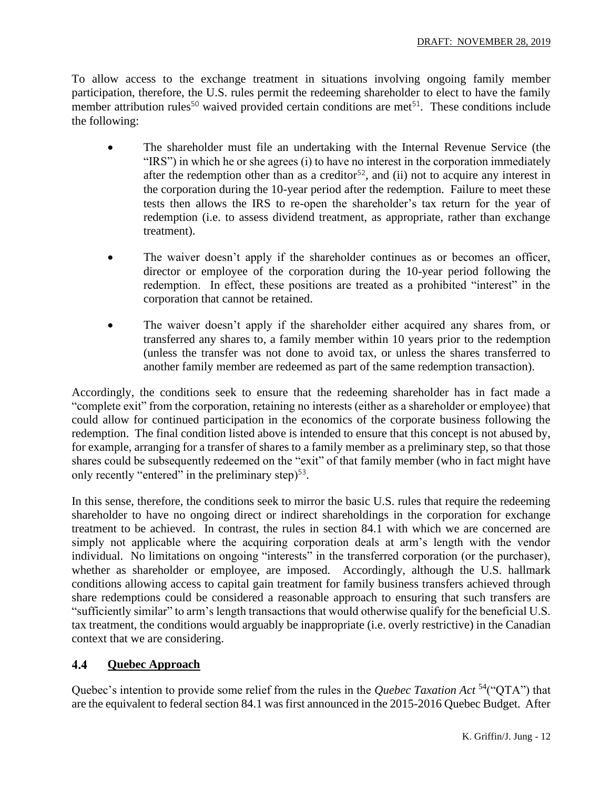To allow access to the exchange treatment in situations involving ongoing family member participation, therefore, the U.S. rules permit the redeeming shareholder to elect to have the family member attribution rules<sup>50</sup> waived provided certain conditions are met<sup>51</sup>. These conditions include the following:

- The shareholder must file an undertaking with the Internal Revenue Service (the "IRS") in which he or she agrees (i) to have no interest in the corporation immediately after the redemption other than as a creditor<sup>52</sup>, and (ii) not to acquire any interest in the corporation during the 10-year period after the redemption. Failure to meet these tests then allows the IRS to re-open the shareholder's tax return for the year of redemption (i.e. to assess dividend treatment, as appropriate, rather than exchange treatment).
- The waiver doesn't apply if the shareholder continues as or becomes an officer, director or employee of the corporation during the 10-year period following the redemption. In effect, these positions are treated as a prohibited "interest" in the corporation that cannot be retained.
- The waiver doesn't apply if the shareholder either acquired any shares from, or transferred any shares to, a family member within 10 years prior to the redemption (unless the transfer was not done to avoid tax, or unless the shares transferred to another family member are redeemed as part of the same redemption transaction).

Accordingly, the conditions seek to ensure that the redeeming shareholder has in fact made a "complete exit" from the corporation, retaining no interests (either as a shareholder or employee) that could allow for continued participation in the economics of the corporate business following the redemption. The final condition listed above is intended to ensure that this concept is not abused by, for example, arranging for a transfer of shares to a family member as a preliminary step, so that those shares could be subsequently redeemed on the "exit" of that family member (who in fact might have only recently "entered" in the preliminary step $5<sup>53</sup>$ .

In this sense, therefore, the conditions seek to mirror the basic U.S. rules that require the redeeming shareholder to have no ongoing direct or indirect shareholdings in the corporation for exchange treatment to be achieved. In contrast, the rules in section 84.1 with which we are concerned are simply not applicable where the acquiring corporation deals at arm's length with the vendor individual. No limitations on ongoing "interests" in the transferred corporation (or the purchaser), whether as shareholder or employee, are imposed. Accordingly, although the U.S. hallmark conditions allowing access to capital gain treatment for family business transfers achieved through share redemptions could be considered a reasonable approach to ensuring that such transfers are "sufficiently similar" to arm's length transactions that would otherwise qualify for the beneficial U.S. tax treatment, the conditions would arguably be inappropriate (i.e. overly restrictive) in the Canadian context that we are considering.

#### $4.4$ **Quebec Approach**

Quebec's intention to provide some relief from the rules in the *Quebec Taxation Act* <sup>54</sup>("QTA") that are the equivalent to federal section 84.1 was first announced in the 2015-2016 Quebec Budget. After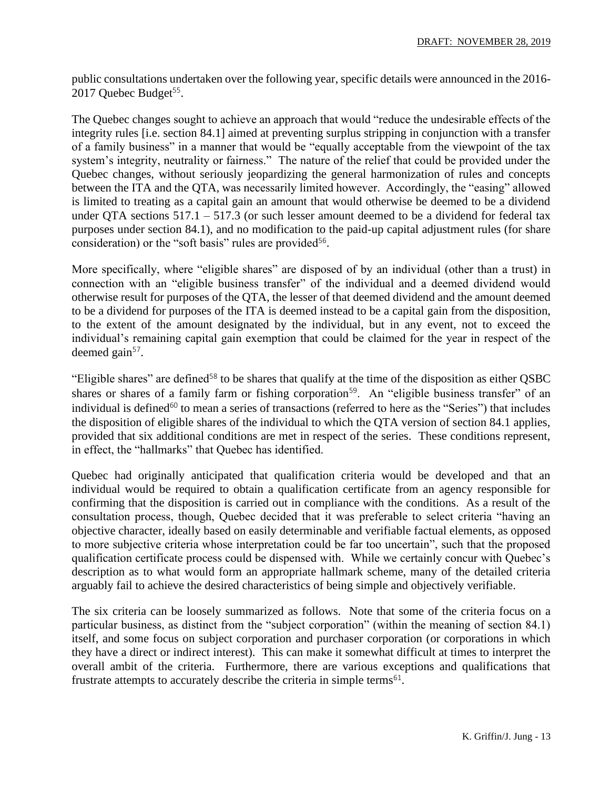public consultations undertaken over the following year, specific details were announced in the 2016- 2017 Quebec Budget<sup>55</sup>.

The Quebec changes sought to achieve an approach that would "reduce the undesirable effects of the integrity rules [i.e. section 84.1] aimed at preventing surplus stripping in conjunction with a transfer of a family business" in a manner that would be "equally acceptable from the viewpoint of the tax system's integrity, neutrality or fairness." The nature of the relief that could be provided under the Quebec changes, without seriously jeopardizing the general harmonization of rules and concepts between the ITA and the QTA, was necessarily limited however. Accordingly, the "easing" allowed is limited to treating as a capital gain an amount that would otherwise be deemed to be a dividend under QTA sections  $517.1 - 517.3$  (or such lesser amount deemed to be a dividend for federal tax purposes under section 84.1), and no modification to the paid-up capital adjustment rules (for share consideration) or the "soft basis" rules are provided<sup>56</sup>.

More specifically, where "eligible shares" are disposed of by an individual (other than a trust) in connection with an "eligible business transfer" of the individual and a deemed dividend would otherwise result for purposes of the QTA, the lesser of that deemed dividend and the amount deemed to be a dividend for purposes of the ITA is deemed instead to be a capital gain from the disposition, to the extent of the amount designated by the individual, but in any event, not to exceed the individual's remaining capital gain exemption that could be claimed for the year in respect of the deemed gain<sup>57</sup>.

"Eligible shares" are defined<sup>58</sup> to be shares that qualify at the time of the disposition as either QSBC shares or shares of a family farm or fishing corporation<sup>59</sup>. An "eligible business transfer" of an individual is defined<sup>60</sup> to mean a series of transactions (referred to here as the "Series") that includes the disposition of eligible shares of the individual to which the QTA version of section 84.1 applies, provided that six additional conditions are met in respect of the series. These conditions represent, in effect, the "hallmarks" that Quebec has identified.

Quebec had originally anticipated that qualification criteria would be developed and that an individual would be required to obtain a qualification certificate from an agency responsible for confirming that the disposition is carried out in compliance with the conditions. As a result of the consultation process, though, Quebec decided that it was preferable to select criteria "having an objective character, ideally based on easily determinable and verifiable factual elements, as opposed to more subjective criteria whose interpretation could be far too uncertain", such that the proposed qualification certificate process could be dispensed with. While we certainly concur with Quebec's description as to what would form an appropriate hallmark scheme, many of the detailed criteria arguably fail to achieve the desired characteristics of being simple and objectively verifiable.

The six criteria can be loosely summarized as follows. Note that some of the criteria focus on a particular business, as distinct from the "subject corporation" (within the meaning of section 84.1) itself, and some focus on subject corporation and purchaser corporation (or corporations in which they have a direct or indirect interest). This can make it somewhat difficult at times to interpret the overall ambit of the criteria. Furthermore, there are various exceptions and qualifications that frustrate attempts to accurately describe the criteria in simple terms $61$ .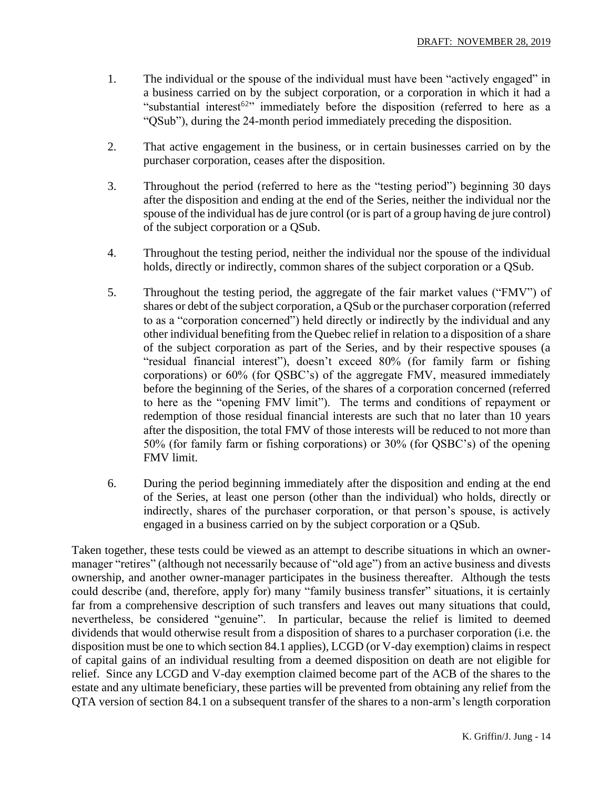- 1. The individual or the spouse of the individual must have been "actively engaged" in a business carried on by the subject corporation, or a corporation in which it had a "substantial interest<sup>62</sup>" immediately before the disposition (referred to here as a "QSub"), during the 24-month period immediately preceding the disposition.
- 2. That active engagement in the business, or in certain businesses carried on by the purchaser corporation, ceases after the disposition.
- 3. Throughout the period (referred to here as the "testing period") beginning 30 days after the disposition and ending at the end of the Series, neither the individual nor the spouse of the individual has de jure control (or is part of a group having de jure control) of the subject corporation or a QSub.
- 4. Throughout the testing period, neither the individual nor the spouse of the individual holds, directly or indirectly, common shares of the subject corporation or a QSub.
- 5. Throughout the testing period, the aggregate of the fair market values ("FMV") of shares or debt of the subject corporation, a QSub or the purchaser corporation (referred to as a "corporation concerned") held directly or indirectly by the individual and any other individual benefiting from the Quebec relief in relation to a disposition of a share of the subject corporation as part of the Series, and by their respective spouses (a "residual financial interest"), doesn't exceed 80% (for family farm or fishing corporations) or 60% (for QSBC's) of the aggregate FMV, measured immediately before the beginning of the Series, of the shares of a corporation concerned (referred to here as the "opening FMV limit"). The terms and conditions of repayment or redemption of those residual financial interests are such that no later than 10 years after the disposition, the total FMV of those interests will be reduced to not more than 50% (for family farm or fishing corporations) or 30% (for QSBC's) of the opening FMV limit.
- 6. During the period beginning immediately after the disposition and ending at the end of the Series, at least one person (other than the individual) who holds, directly or indirectly, shares of the purchaser corporation, or that person's spouse, is actively engaged in a business carried on by the subject corporation or a QSub.

Taken together, these tests could be viewed as an attempt to describe situations in which an ownermanager "retires" (although not necessarily because of "old age") from an active business and divests ownership, and another owner-manager participates in the business thereafter. Although the tests could describe (and, therefore, apply for) many "family business transfer" situations, it is certainly far from a comprehensive description of such transfers and leaves out many situations that could, nevertheless, be considered "genuine". In particular, because the relief is limited to deemed dividends that would otherwise result from a disposition of shares to a purchaser corporation (i.e. the disposition must be one to which section 84.1 applies), LCGD (or V-day exemption) claims in respect of capital gains of an individual resulting from a deemed disposition on death are not eligible for relief. Since any LCGD and V-day exemption claimed become part of the ACB of the shares to the estate and any ultimate beneficiary, these parties will be prevented from obtaining any relief from the QTA version of section 84.1 on a subsequent transfer of the shares to a non-arm's length corporation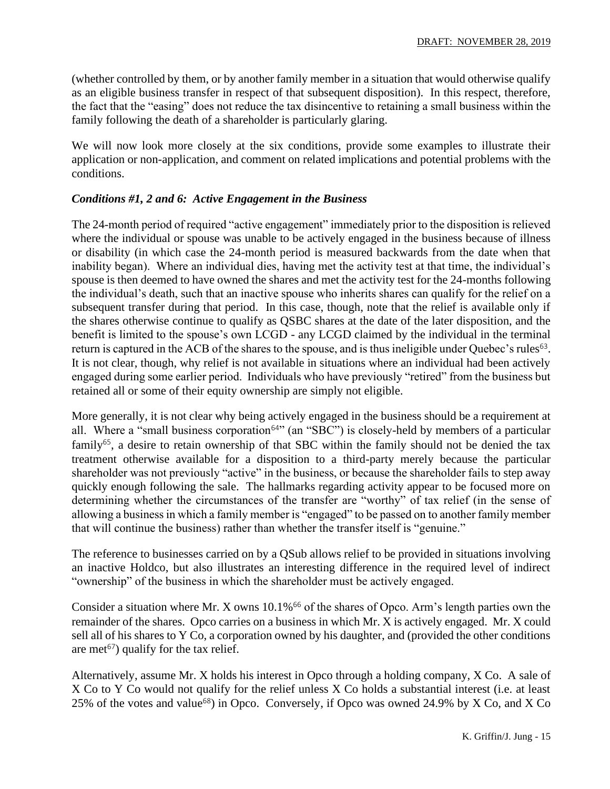(whether controlled by them, or by another family member in a situation that would otherwise qualify as an eligible business transfer in respect of that subsequent disposition). In this respect, therefore, the fact that the "easing" does not reduce the tax disincentive to retaining a small business within the family following the death of a shareholder is particularly glaring.

We will now look more closely at the six conditions, provide some examples to illustrate their application or non-application, and comment on related implications and potential problems with the conditions.

### *Conditions #1, 2 and 6: Active Engagement in the Business*

The 24-month period of required "active engagement" immediately prior to the disposition is relieved where the individual or spouse was unable to be actively engaged in the business because of illness or disability (in which case the 24-month period is measured backwards from the date when that inability began). Where an individual dies, having met the activity test at that time, the individual's spouse is then deemed to have owned the shares and met the activity test for the 24-months following the individual's death, such that an inactive spouse who inherits shares can qualify for the relief on a subsequent transfer during that period. In this case, though, note that the relief is available only if the shares otherwise continue to qualify as QSBC shares at the date of the later disposition, and the benefit is limited to the spouse's own LCGD - any LCGD claimed by the individual in the terminal return is captured in the ACB of the shares to the spouse, and is thus ineligible under Quebec's rules<sup>63</sup>. It is not clear, though, why relief is not available in situations where an individual had been actively engaged during some earlier period. Individuals who have previously "retired" from the business but retained all or some of their equity ownership are simply not eligible.

More generally, it is not clear why being actively engaged in the business should be a requirement at all. Where a "small business corporation<sup>64"</sup> (an "SBC") is closely-held by members of a particular family<sup>65</sup>, a desire to retain ownership of that SBC within the family should not be denied the tax treatment otherwise available for a disposition to a third-party merely because the particular shareholder was not previously "active" in the business, or because the shareholder fails to step away quickly enough following the sale. The hallmarks regarding activity appear to be focused more on determining whether the circumstances of the transfer are "worthy" of tax relief (in the sense of allowing a business in which a family member is "engaged" to be passed on to another family member that will continue the business) rather than whether the transfer itself is "genuine."

The reference to businesses carried on by a QSub allows relief to be provided in situations involving an inactive Holdco, but also illustrates an interesting difference in the required level of indirect "ownership" of the business in which the shareholder must be actively engaged.

Consider a situation where Mr. X owns  $10.1\%$ <sup>66</sup> of the shares of Opco. Arm's length parties own the remainder of the shares. Opco carries on a business in which Mr. X is actively engaged. Mr. X could sell all of his shares to Y Co, a corporation owned by his daughter, and (provided the other conditions are met<sup> $67$ </sup>) qualify for the tax relief.

Alternatively, assume Mr. X holds his interest in Opco through a holding company, X Co. A sale of X Co to Y Co would not qualify for the relief unless X Co holds a substantial interest (i.e. at least 25% of the votes and value<sup>68</sup>) in Opco. Conversely, if Opco was owned 24.9% by X Co, and X Co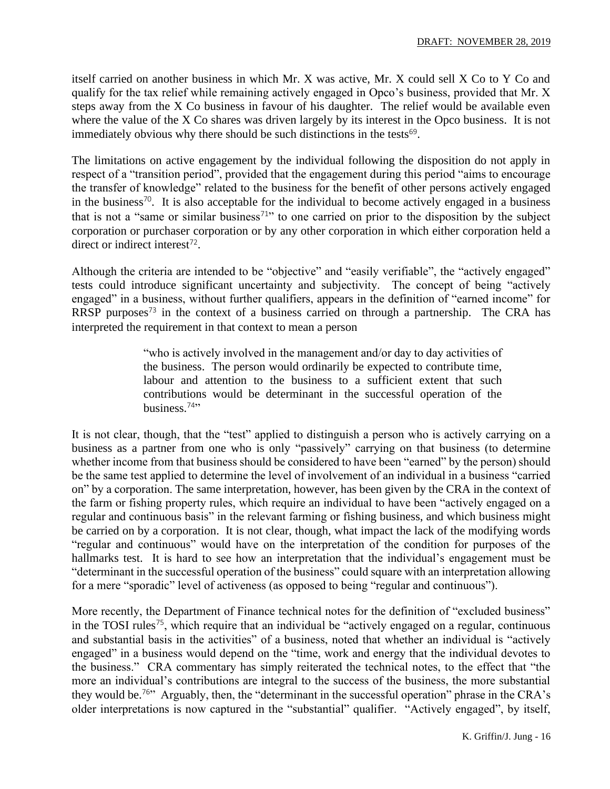itself carried on another business in which Mr. X was active, Mr. X could sell X Co to Y Co and qualify for the tax relief while remaining actively engaged in Opco's business, provided that Mr. X steps away from the X Co business in favour of his daughter. The relief would be available even where the value of the X Co shares was driven largely by its interest in the Opco business. It is not immediately obvious why there should be such distinctions in the tests<sup>69</sup>.

The limitations on active engagement by the individual following the disposition do not apply in respect of a "transition period", provided that the engagement during this period "aims to encourage the transfer of knowledge" related to the business for the benefit of other persons actively engaged in the business<sup>70</sup>. It is also acceptable for the individual to become actively engaged in a business that is not a "same or similar business<sup>71</sup>" to one carried on prior to the disposition by the subject corporation or purchaser corporation or by any other corporation in which either corporation held a direct or indirect interest<sup>72</sup>.

Although the criteria are intended to be "objective" and "easily verifiable", the "actively engaged" tests could introduce significant uncertainty and subjectivity. The concept of being "actively engaged" in a business, without further qualifiers, appears in the definition of "earned income" for RRSP purposes<sup>73</sup> in the context of a business carried on through a partnership. The CRA has interpreted the requirement in that context to mean a person

> "who is actively involved in the management and/or day to day activities of the business. The person would ordinarily be expected to contribute time, labour and attention to the business to a sufficient extent that such contributions would be determinant in the successful operation of the business. $74$ "

It is not clear, though, that the "test" applied to distinguish a person who is actively carrying on a business as a partner from one who is only "passively" carrying on that business (to determine whether income from that business should be considered to have been "earned" by the person) should be the same test applied to determine the level of involvement of an individual in a business "carried on" by a corporation. The same interpretation, however, has been given by the CRA in the context of the farm or fishing property rules, which require an individual to have been "actively engaged on a regular and continuous basis" in the relevant farming or fishing business, and which business might be carried on by a corporation. It is not clear, though, what impact the lack of the modifying words "regular and continuous" would have on the interpretation of the condition for purposes of the hallmarks test. It is hard to see how an interpretation that the individual's engagement must be "determinant in the successful operation of the business" could square with an interpretation allowing for a mere "sporadic" level of activeness (as opposed to being "regular and continuous").

More recently, the Department of Finance technical notes for the definition of "excluded business" in the TOSI rules<sup>75</sup>, which require that an individual be "actively engaged on a regular, continuous and substantial basis in the activities" of a business, noted that whether an individual is "actively engaged" in a business would depend on the "time, work and energy that the individual devotes to the business." CRA commentary has simply reiterated the technical notes, to the effect that "the more an individual's contributions are integral to the success of the business, the more substantial they would be.<sup>76</sup>" Arguably, then, the "determinant in the successful operation" phrase in the CRA's older interpretations is now captured in the "substantial" qualifier. "Actively engaged", by itself,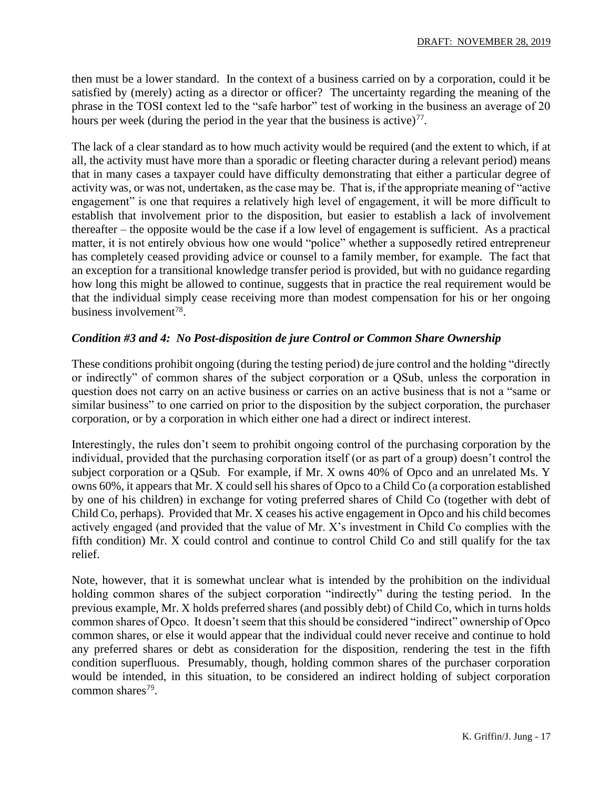then must be a lower standard. In the context of a business carried on by a corporation, could it be satisfied by (merely) acting as a director or officer? The uncertainty regarding the meaning of the phrase in the TOSI context led to the "safe harbor" test of working in the business an average of 20 hours per week (during the period in the year that the business is active) $77$ .

The lack of a clear standard as to how much activity would be required (and the extent to which, if at all, the activity must have more than a sporadic or fleeting character during a relevant period) means that in many cases a taxpayer could have difficulty demonstrating that either a particular degree of activity was, or was not, undertaken, as the case may be. That is, if the appropriate meaning of "active engagement" is one that requires a relatively high level of engagement, it will be more difficult to establish that involvement prior to the disposition, but easier to establish a lack of involvement thereafter – the opposite would be the case if a low level of engagement is sufficient. As a practical matter, it is not entirely obvious how one would "police" whether a supposedly retired entrepreneur has completely ceased providing advice or counsel to a family member, for example. The fact that an exception for a transitional knowledge transfer period is provided, but with no guidance regarding how long this might be allowed to continue, suggests that in practice the real requirement would be that the individual simply cease receiving more than modest compensation for his or her ongoing business involvement<sup>78</sup>.

### *Condition #3 and 4: No Post-disposition de jure Control or Common Share Ownership*

These conditions prohibit ongoing (during the testing period) de jure control and the holding "directly or indirectly" of common shares of the subject corporation or a QSub, unless the corporation in question does not carry on an active business or carries on an active business that is not a "same or similar business" to one carried on prior to the disposition by the subject corporation, the purchaser corporation, or by a corporation in which either one had a direct or indirect interest.

Interestingly, the rules don't seem to prohibit ongoing control of the purchasing corporation by the individual, provided that the purchasing corporation itself (or as part of a group) doesn't control the subject corporation or a QSub. For example, if Mr. X owns 40% of Opco and an unrelated Ms. Y owns 60%, it appears that Mr. X could sell his shares of Opco to a Child Co (a corporation established by one of his children) in exchange for voting preferred shares of Child Co (together with debt of Child Co, perhaps). Provided that Mr. X ceases his active engagement in Opco and his child becomes actively engaged (and provided that the value of Mr. X's investment in Child Co complies with the fifth condition) Mr. X could control and continue to control Child Co and still qualify for the tax relief.

Note, however, that it is somewhat unclear what is intended by the prohibition on the individual holding common shares of the subject corporation "indirectly" during the testing period. In the previous example, Mr. X holds preferred shares (and possibly debt) of Child Co, which in turns holds common shares of Opco. It doesn't seem that this should be considered "indirect" ownership of Opco common shares, or else it would appear that the individual could never receive and continue to hold any preferred shares or debt as consideration for the disposition, rendering the test in the fifth condition superfluous. Presumably, though, holding common shares of the purchaser corporation would be intended, in this situation, to be considered an indirect holding of subject corporation common shares<sup>79</sup>.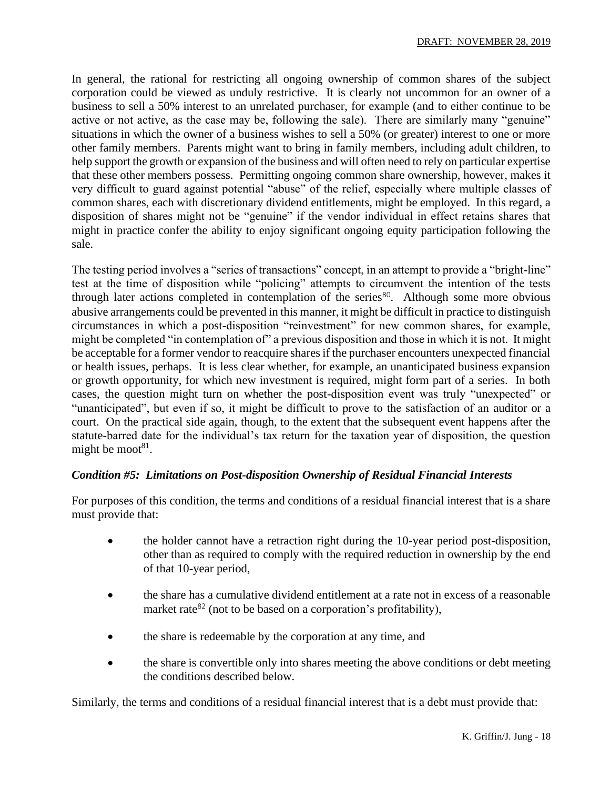In general, the rational for restricting all ongoing ownership of common shares of the subject corporation could be viewed as unduly restrictive. It is clearly not uncommon for an owner of a business to sell a 50% interest to an unrelated purchaser, for example (and to either continue to be active or not active, as the case may be, following the sale). There are similarly many "genuine" situations in which the owner of a business wishes to sell a 50% (or greater) interest to one or more other family members. Parents might want to bring in family members, including adult children, to help support the growth or expansion of the business and will often need to rely on particular expertise that these other members possess. Permitting ongoing common share ownership, however, makes it very difficult to guard against potential "abuse" of the relief, especially where multiple classes of common shares, each with discretionary dividend entitlements, might be employed. In this regard, a disposition of shares might not be "genuine" if the vendor individual in effect retains shares that might in practice confer the ability to enjoy significant ongoing equity participation following the sale.

The testing period involves a "series of transactions" concept, in an attempt to provide a "bright-line" test at the time of disposition while "policing" attempts to circumvent the intention of the tests through later actions completed in contemplation of the series $80$ . Although some more obvious abusive arrangements could be prevented in this manner, it might be difficult in practice to distinguish circumstances in which a post-disposition "reinvestment" for new common shares, for example, might be completed "in contemplation of" a previous disposition and those in which it is not. It might be acceptable for a former vendor to reacquire shares if the purchaser encounters unexpected financial or health issues, perhaps. It is less clear whether, for example, an unanticipated business expansion or growth opportunity, for which new investment is required, might form part of a series. In both cases, the question might turn on whether the post-disposition event was truly "unexpected" or "unanticipated", but even if so, it might be difficult to prove to the satisfaction of an auditor or a court. On the practical side again, though, to the extent that the subsequent event happens after the statute-barred date for the individual's tax return for the taxation year of disposition, the question might be moot $81$ .

### *Condition #5: Limitations on Post-disposition Ownership of Residual Financial Interests*

For purposes of this condition, the terms and conditions of a residual financial interest that is a share must provide that:

- the holder cannot have a retraction right during the 10-year period post-disposition, other than as required to comply with the required reduction in ownership by the end of that 10-year period,
- the share has a cumulative dividend entitlement at a rate not in excess of a reasonable market rate<sup>82</sup> (not to be based on a corporation's profitability),
- the share is redeemable by the corporation at any time, and
- the share is convertible only into shares meeting the above conditions or debt meeting the conditions described below.

Similarly, the terms and conditions of a residual financial interest that is a debt must provide that: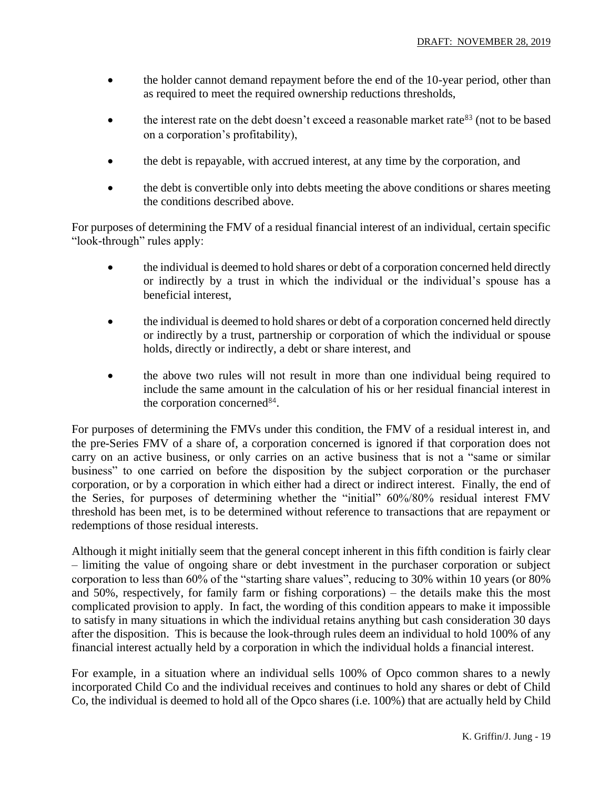- the holder cannot demand repayment before the end of the 10-year period, other than as required to meet the required ownership reductions thresholds,
- the interest rate on the debt doesn't exceed a reasonable market rate<sup>83</sup> (not to be based on a corporation's profitability),
- the debt is repayable, with accrued interest, at any time by the corporation, and
- the debt is convertible only into debts meeting the above conditions or shares meeting the conditions described above.

For purposes of determining the FMV of a residual financial interest of an individual, certain specific "look-through" rules apply:

- the individual is deemed to hold shares or debt of a corporation concerned held directly or indirectly by a trust in which the individual or the individual's spouse has a beneficial interest,
- the individual is deemed to hold shares or debt of a corporation concerned held directly or indirectly by a trust, partnership or corporation of which the individual or spouse holds, directly or indirectly, a debt or share interest, and
- the above two rules will not result in more than one individual being required to include the same amount in the calculation of his or her residual financial interest in the corporation concerned<sup>84</sup>.

For purposes of determining the FMVs under this condition, the FMV of a residual interest in, and the pre-Series FMV of a share of, a corporation concerned is ignored if that corporation does not carry on an active business, or only carries on an active business that is not a "same or similar business" to one carried on before the disposition by the subject corporation or the purchaser corporation, or by a corporation in which either had a direct or indirect interest. Finally, the end of the Series, for purposes of determining whether the "initial" 60%/80% residual interest FMV threshold has been met, is to be determined without reference to transactions that are repayment or redemptions of those residual interests.

Although it might initially seem that the general concept inherent in this fifth condition is fairly clear – limiting the value of ongoing share or debt investment in the purchaser corporation or subject corporation to less than 60% of the "starting share values", reducing to 30% within 10 years (or 80% and 50%, respectively, for family farm or fishing corporations) – the details make this the most complicated provision to apply. In fact, the wording of this condition appears to make it impossible to satisfy in many situations in which the individual retains anything but cash consideration 30 days after the disposition. This is because the look-through rules deem an individual to hold 100% of any financial interest actually held by a corporation in which the individual holds a financial interest.

For example, in a situation where an individual sells 100% of Opco common shares to a newly incorporated Child Co and the individual receives and continues to hold any shares or debt of Child Co, the individual is deemed to hold all of the Opco shares (i.e. 100%) that are actually held by Child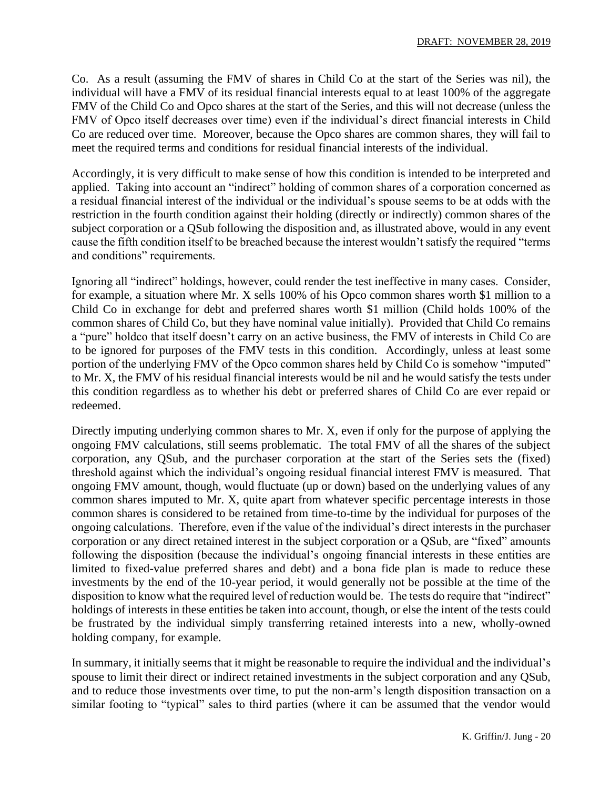Co. As a result (assuming the FMV of shares in Child Co at the start of the Series was nil), the individual will have a FMV of its residual financial interests equal to at least 100% of the aggregate FMV of the Child Co and Opco shares at the start of the Series, and this will not decrease (unless the FMV of Opco itself decreases over time) even if the individual's direct financial interests in Child Co are reduced over time. Moreover, because the Opco shares are common shares, they will fail to meet the required terms and conditions for residual financial interests of the individual.

Accordingly, it is very difficult to make sense of how this condition is intended to be interpreted and applied. Taking into account an "indirect" holding of common shares of a corporation concerned as a residual financial interest of the individual or the individual's spouse seems to be at odds with the restriction in the fourth condition against their holding (directly or indirectly) common shares of the subject corporation or a QSub following the disposition and, as illustrated above, would in any event cause the fifth condition itself to be breached because the interest wouldn't satisfy the required "terms and conditions" requirements.

Ignoring all "indirect" holdings, however, could render the test ineffective in many cases. Consider, for example, a situation where Mr. X sells 100% of his Opco common shares worth \$1 million to a Child Co in exchange for debt and preferred shares worth \$1 million (Child holds 100% of the common shares of Child Co, but they have nominal value initially). Provided that Child Co remains a "pure" holdco that itself doesn't carry on an active business, the FMV of interests in Child Co are to be ignored for purposes of the FMV tests in this condition. Accordingly, unless at least some portion of the underlying FMV of the Opco common shares held by Child Co is somehow "imputed" to Mr. X, the FMV of his residual financial interests would be nil and he would satisfy the tests under this condition regardless as to whether his debt or preferred shares of Child Co are ever repaid or redeemed.

Directly imputing underlying common shares to Mr. X, even if only for the purpose of applying the ongoing FMV calculations, still seems problematic. The total FMV of all the shares of the subject corporation, any QSub, and the purchaser corporation at the start of the Series sets the (fixed) threshold against which the individual's ongoing residual financial interest FMV is measured. That ongoing FMV amount, though, would fluctuate (up or down) based on the underlying values of any common shares imputed to Mr. X, quite apart from whatever specific percentage interests in those common shares is considered to be retained from time-to-time by the individual for purposes of the ongoing calculations. Therefore, even if the value of the individual's direct interests in the purchaser corporation or any direct retained interest in the subject corporation or a QSub, are "fixed" amounts following the disposition (because the individual's ongoing financial interests in these entities are limited to fixed-value preferred shares and debt) and a bona fide plan is made to reduce these investments by the end of the 10-year period, it would generally not be possible at the time of the disposition to know what the required level of reduction would be. The tests do require that "indirect" holdings of interests in these entities be taken into account, though, or else the intent of the tests could be frustrated by the individual simply transferring retained interests into a new, wholly-owned holding company, for example.

In summary, it initially seems that it might be reasonable to require the individual and the individual's spouse to limit their direct or indirect retained investments in the subject corporation and any QSub, and to reduce those investments over time, to put the non-arm's length disposition transaction on a similar footing to "typical" sales to third parties (where it can be assumed that the vendor would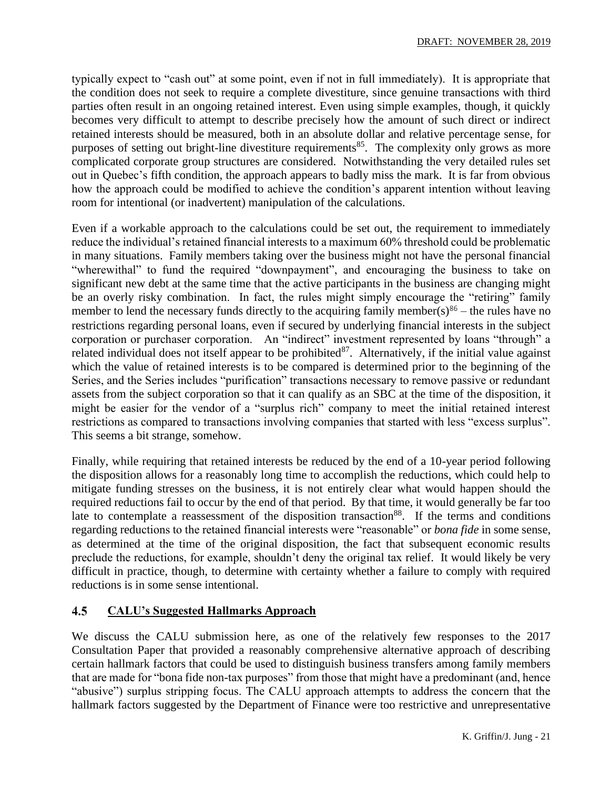typically expect to "cash out" at some point, even if not in full immediately). It is appropriate that the condition does not seek to require a complete divestiture, since genuine transactions with third parties often result in an ongoing retained interest. Even using simple examples, though, it quickly becomes very difficult to attempt to describe precisely how the amount of such direct or indirect retained interests should be measured, both in an absolute dollar and relative percentage sense, for purposes of setting out bright-line divestiture requirements<sup>85</sup>. The complexity only grows as more complicated corporate group structures are considered. Notwithstanding the very detailed rules set out in Quebec's fifth condition, the approach appears to badly miss the mark. It is far from obvious how the approach could be modified to achieve the condition's apparent intention without leaving room for intentional (or inadvertent) manipulation of the calculations.

Even if a workable approach to the calculations could be set out, the requirement to immediately reduce the individual's retained financial interests to a maximum 60% threshold could be problematic in many situations. Family members taking over the business might not have the personal financial "wherewithal" to fund the required "downpayment", and encouraging the business to take on significant new debt at the same time that the active participants in the business are changing might be an overly risky combination. In fact, the rules might simply encourage the "retiring" family member to lend the necessary funds directly to the acquiring family member(s) $86$  – the rules have no restrictions regarding personal loans, even if secured by underlying financial interests in the subject corporation or purchaser corporation. An "indirect" investment represented by loans "through" a related individual does not itself appear to be prohibited<sup>87</sup>. Alternatively, if the initial value against which the value of retained interests is to be compared is determined prior to the beginning of the Series, and the Series includes "purification" transactions necessary to remove passive or redundant assets from the subject corporation so that it can qualify as an SBC at the time of the disposition, it might be easier for the vendor of a "surplus rich" company to meet the initial retained interest restrictions as compared to transactions involving companies that started with less "excess surplus". This seems a bit strange, somehow.

Finally, while requiring that retained interests be reduced by the end of a 10-year period following the disposition allows for a reasonably long time to accomplish the reductions, which could help to mitigate funding stresses on the business, it is not entirely clear what would happen should the required reductions fail to occur by the end of that period. By that time, it would generally be far too late to contemplate a reassessment of the disposition transaction<sup>88</sup>. If the terms and conditions regarding reductions to the retained financial interests were "reasonable" or *bona fide* in some sense, as determined at the time of the original disposition, the fact that subsequent economic results preclude the reductions, for example, shouldn't deny the original tax relief. It would likely be very difficult in practice, though, to determine with certainty whether a failure to comply with required reductions is in some sense intentional.

#### $4.5$ **CALU's Suggested Hallmarks Approach**

We discuss the CALU submission here, as one of the relatively few responses to the 2017 Consultation Paper that provided a reasonably comprehensive alternative approach of describing certain hallmark factors that could be used to distinguish business transfers among family members that are made for "bona fide non-tax purposes" from those that might have a predominant (and, hence "abusive") surplus stripping focus. The CALU approach attempts to address the concern that the hallmark factors suggested by the Department of Finance were too restrictive and unrepresentative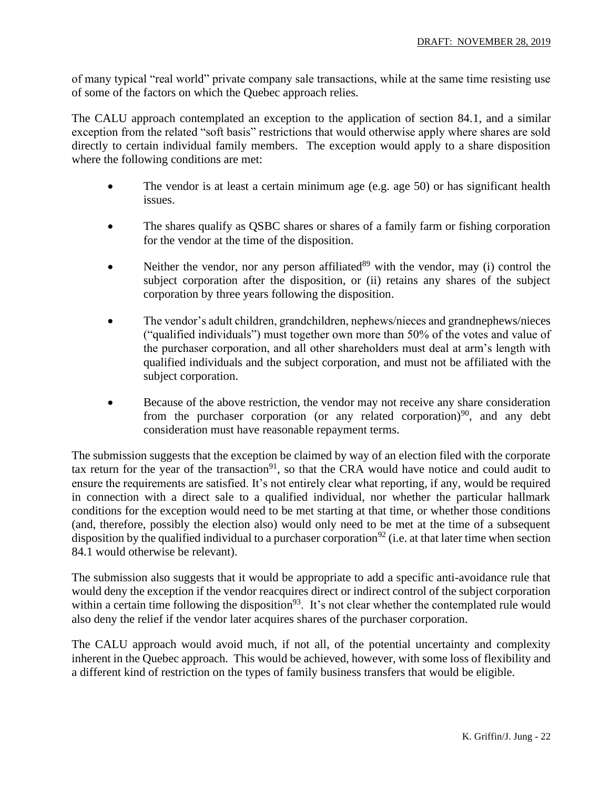of many typical "real world" private company sale transactions, while at the same time resisting use of some of the factors on which the Quebec approach relies.

The CALU approach contemplated an exception to the application of section 84.1, and a similar exception from the related "soft basis" restrictions that would otherwise apply where shares are sold directly to certain individual family members. The exception would apply to a share disposition where the following conditions are met:

- The vendor is at least a certain minimum age (e.g. age 50) or has significant health issues.
- The shares qualify as QSBC shares or shares of a family farm or fishing corporation for the vendor at the time of the disposition.
- Neither the vendor, nor any person affiliated $89$  with the vendor, may (i) control the subject corporation after the disposition, or (ii) retains any shares of the subject corporation by three years following the disposition.
- The vendor's adult children, grandchildren, nephews/nieces and grandnephews/nieces ("qualified individuals") must together own more than 50% of the votes and value of the purchaser corporation, and all other shareholders must deal at arm's length with qualified individuals and the subject corporation, and must not be affiliated with the subject corporation.
- Because of the above restriction, the vendor may not receive any share consideration from the purchaser corporation (or any related corporation)<sup>90</sup>, and any debt consideration must have reasonable repayment terms.

The submission suggests that the exception be claimed by way of an election filed with the corporate tax return for the year of the transaction<sup>91</sup>, so that the CRA would have notice and could audit to ensure the requirements are satisfied. It's not entirely clear what reporting, if any, would be required in connection with a direct sale to a qualified individual, nor whether the particular hallmark conditions for the exception would need to be met starting at that time, or whether those conditions (and, therefore, possibly the election also) would only need to be met at the time of a subsequent disposition by the qualified individual to a purchaser corporation<sup>92</sup> (i.e. at that later time when section 84.1 would otherwise be relevant).

The submission also suggests that it would be appropriate to add a specific anti-avoidance rule that would deny the exception if the vendor reacquires direct or indirect control of the subject corporation within a certain time following the disposition<sup>93</sup>. It's not clear whether the contemplated rule would also deny the relief if the vendor later acquires shares of the purchaser corporation.

The CALU approach would avoid much, if not all, of the potential uncertainty and complexity inherent in the Quebec approach. This would be achieved, however, with some loss of flexibility and a different kind of restriction on the types of family business transfers that would be eligible.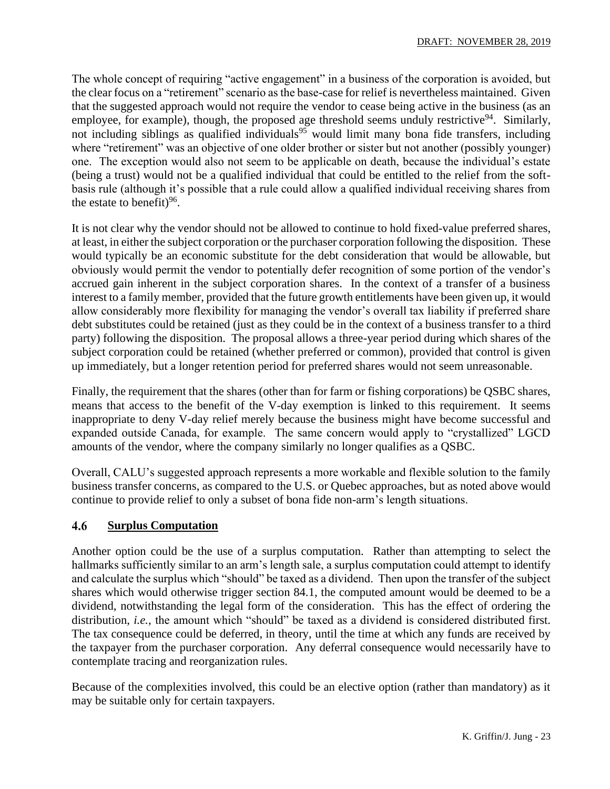The whole concept of requiring "active engagement" in a business of the corporation is avoided, but the clear focus on a "retirement" scenario as the base-case for relief is nevertheless maintained. Given that the suggested approach would not require the vendor to cease being active in the business (as an employee, for example), though, the proposed age threshold seems unduly restrictive<sup>94</sup>. Similarly, not including siblings as qualified individuals<sup>95</sup> would limit many bona fide transfers, including where "retirement" was an objective of one older brother or sister but not another (possibly younger) one. The exception would also not seem to be applicable on death, because the individual's estate (being a trust) would not be a qualified individual that could be entitled to the relief from the softbasis rule (although it's possible that a rule could allow a qualified individual receiving shares from the estate to benefit) $96$ .

It is not clear why the vendor should not be allowed to continue to hold fixed-value preferred shares, at least, in either the subject corporation or the purchaser corporation following the disposition. These would typically be an economic substitute for the debt consideration that would be allowable, but obviously would permit the vendor to potentially defer recognition of some portion of the vendor's accrued gain inherent in the subject corporation shares. In the context of a transfer of a business interest to a family member, provided that the future growth entitlements have been given up, it would allow considerably more flexibility for managing the vendor's overall tax liability if preferred share debt substitutes could be retained (just as they could be in the context of a business transfer to a third party) following the disposition. The proposal allows a three-year period during which shares of the subject corporation could be retained (whether preferred or common), provided that control is given up immediately, but a longer retention period for preferred shares would not seem unreasonable.

Finally, the requirement that the shares (other than for farm or fishing corporations) be QSBC shares, means that access to the benefit of the V-day exemption is linked to this requirement. It seems inappropriate to deny V-day relief merely because the business might have become successful and expanded outside Canada, for example. The same concern would apply to "crystallized" LGCD amounts of the vendor, where the company similarly no longer qualifies as a QSBC.

Overall, CALU's suggested approach represents a more workable and flexible solution to the family business transfer concerns, as compared to the U.S. or Quebec approaches, but as noted above would continue to provide relief to only a subset of bona fide non-arm's length situations.

#### 4.6 **Surplus Computation**

Another option could be the use of a surplus computation. Rather than attempting to select the hallmarks sufficiently similar to an arm's length sale, a surplus computation could attempt to identify and calculate the surplus which "should" be taxed as a dividend. Then upon the transfer of the subject shares which would otherwise trigger section 84.1, the computed amount would be deemed to be a dividend, notwithstanding the legal form of the consideration. This has the effect of ordering the distribution, *i.e.,* the amount which "should" be taxed as a dividend is considered distributed first. The tax consequence could be deferred, in theory, until the time at which any funds are received by the taxpayer from the purchaser corporation. Any deferral consequence would necessarily have to contemplate tracing and reorganization rules.

Because of the complexities involved, this could be an elective option (rather than mandatory) as it may be suitable only for certain taxpayers.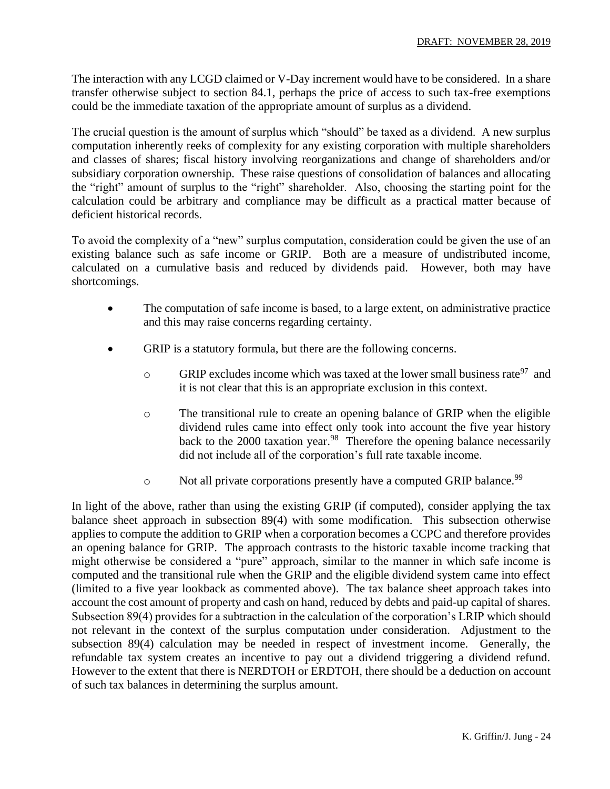The interaction with any LCGD claimed or V-Day increment would have to be considered. In a share transfer otherwise subject to section 84.1, perhaps the price of access to such tax-free exemptions could be the immediate taxation of the appropriate amount of surplus as a dividend.

The crucial question is the amount of surplus which "should" be taxed as a dividend. A new surplus computation inherently reeks of complexity for any existing corporation with multiple shareholders and classes of shares; fiscal history involving reorganizations and change of shareholders and/or subsidiary corporation ownership. These raise questions of consolidation of balances and allocating the "right" amount of surplus to the "right" shareholder. Also, choosing the starting point for the calculation could be arbitrary and compliance may be difficult as a practical matter because of deficient historical records.

To avoid the complexity of a "new" surplus computation, consideration could be given the use of an existing balance such as safe income or GRIP. Both are a measure of undistributed income, calculated on a cumulative basis and reduced by dividends paid. However, both may have shortcomings.

- The computation of safe income is based, to a large extent, on administrative practice and this may raise concerns regarding certainty.
- GRIP is a statutory formula, but there are the following concerns.
	- $\circ$  GRIP excludes income which was taxed at the lower small business rate<sup>97</sup> and it is not clear that this is an appropriate exclusion in this context.
	- o The transitional rule to create an opening balance of GRIP when the eligible dividend rules came into effect only took into account the five year history back to the 2000 taxation year.<sup>98</sup> Therefore the opening balance necessarily did not include all of the corporation's full rate taxable income.
	- o Not all private corporations presently have a computed GRIP balance.<sup>99</sup>

In light of the above, rather than using the existing GRIP (if computed), consider applying the tax balance sheet approach in subsection 89(4) with some modification. This subsection otherwise applies to compute the addition to GRIP when a corporation becomes a CCPC and therefore provides an opening balance for GRIP. The approach contrasts to the historic taxable income tracking that might otherwise be considered a "pure" approach, similar to the manner in which safe income is computed and the transitional rule when the GRIP and the eligible dividend system came into effect (limited to a five year lookback as commented above). The tax balance sheet approach takes into account the cost amount of property and cash on hand, reduced by debts and paid-up capital of shares. Subsection 89(4) provides for a subtraction in the calculation of the corporation's LRIP which should not relevant in the context of the surplus computation under consideration. Adjustment to the subsection 89(4) calculation may be needed in respect of investment income. Generally, the refundable tax system creates an incentive to pay out a dividend triggering a dividend refund. However to the extent that there is NERDTOH or ERDTOH, there should be a deduction on account of such tax balances in determining the surplus amount.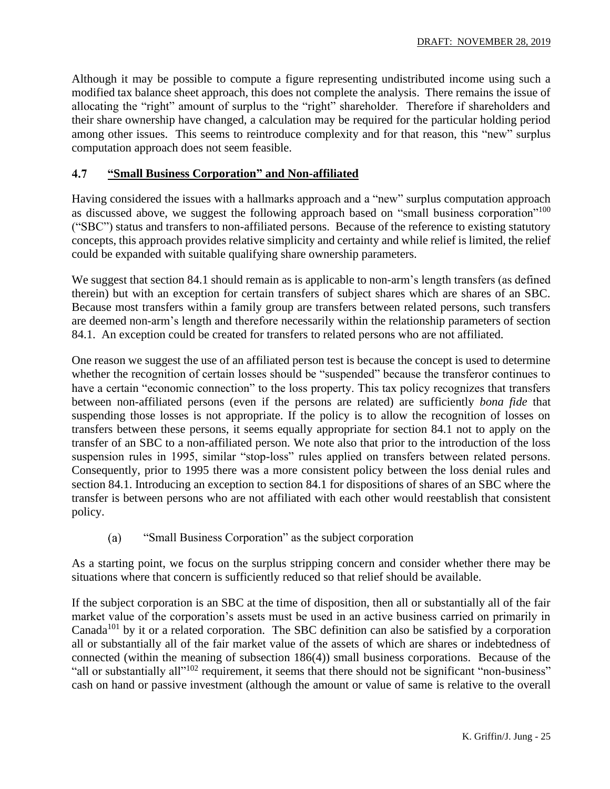Although it may be possible to compute a figure representing undistributed income using such a modified tax balance sheet approach, this does not complete the analysis. There remains the issue of allocating the "right" amount of surplus to the "right" shareholder. Therefore if shareholders and their share ownership have changed, a calculation may be required for the particular holding period among other issues. This seems to reintroduce complexity and for that reason, this "new" surplus computation approach does not seem feasible.

#### 4.7 **"Small Business Corporation" and Non-affiliated**

Having considered the issues with a hallmarks approach and a "new" surplus computation approach as discussed above, we suggest the following approach based on "small business corporation"<sup>100</sup> ("SBC") status and transfers to non-affiliated persons. Because of the reference to existing statutory concepts, this approach provides relative simplicity and certainty and while relief is limited, the relief could be expanded with suitable qualifying share ownership parameters.

We suggest that section 84.1 should remain as is applicable to non-arm's length transfers (as defined therein) but with an exception for certain transfers of subject shares which are shares of an SBC. Because most transfers within a family group are transfers between related persons, such transfers are deemed non-arm's length and therefore necessarily within the relationship parameters of section 84.1. An exception could be created for transfers to related persons who are not affiliated.

One reason we suggest the use of an affiliated person test is because the concept is used to determine whether the recognition of certain losses should be "suspended" because the transferor continues to have a certain "economic connection" to the loss property. This tax policy recognizes that transfers between non-affiliated persons (even if the persons are related) are sufficiently *bona fide* that suspending those losses is not appropriate. If the policy is to allow the recognition of losses on transfers between these persons, it seems equally appropriate for section 84.1 not to apply on the transfer of an SBC to a non-affiliated person. We note also that prior to the introduction of the loss suspension rules in 1995, similar "stop-loss" rules applied on transfers between related persons. Consequently, prior to 1995 there was a more consistent policy between the loss denial rules and section 84.1. Introducing an exception to section 84.1 for dispositions of shares of an SBC where the transfer is between persons who are not affiliated with each other would reestablish that consistent policy.

 $(a)$ "Small Business Corporation" as the subject corporation

As a starting point, we focus on the surplus stripping concern and consider whether there may be situations where that concern is sufficiently reduced so that relief should be available.

If the subject corporation is an SBC at the time of disposition, then all or substantially all of the fair market value of the corporation's assets must be used in an active business carried on primarily in Canada<sup>101</sup> by it or a related corporation. The SBC definition can also be satisfied by a corporation all or substantially all of the fair market value of the assets of which are shares or indebtedness of connected (within the meaning of subsection 186(4)) small business corporations. Because of the "all or substantially all"<sup>102</sup> requirement, it seems that there should not be significant "non-business" cash on hand or passive investment (although the amount or value of same is relative to the overall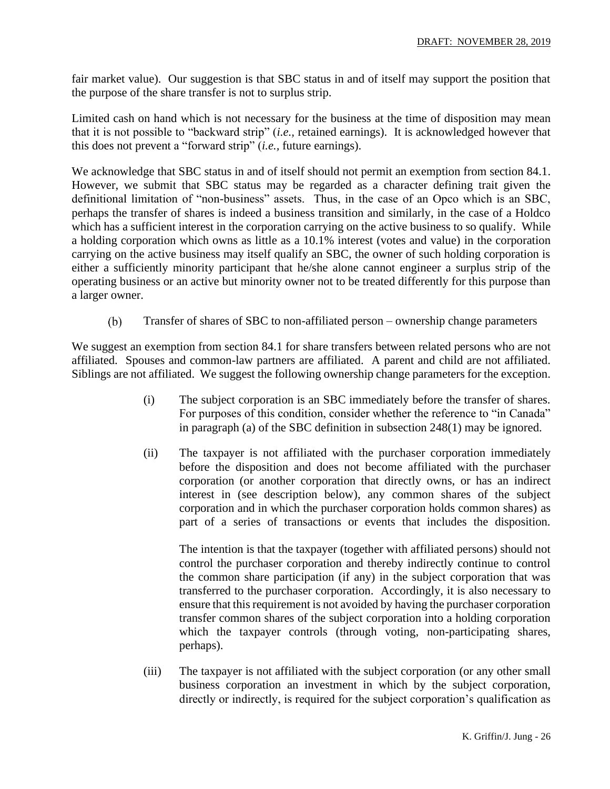fair market value). Our suggestion is that SBC status in and of itself may support the position that the purpose of the share transfer is not to surplus strip.

Limited cash on hand which is not necessary for the business at the time of disposition may mean that it is not possible to "backward strip" (*i.e.,* retained earnings). It is acknowledged however that this does not prevent a "forward strip" (*i.e.,* future earnings).

We acknowledge that SBC status in and of itself should not permit an exemption from section 84.1. However, we submit that SBC status may be regarded as a character defining trait given the definitional limitation of "non-business" assets. Thus, in the case of an Opco which is an SBC, perhaps the transfer of shares is indeed a business transition and similarly, in the case of a Holdco which has a sufficient interest in the corporation carrying on the active business to so qualify. While a holding corporation which owns as little as a 10.1% interest (votes and value) in the corporation carrying on the active business may itself qualify an SBC, the owner of such holding corporation is either a sufficiently minority participant that he/she alone cannot engineer a surplus strip of the operating business or an active but minority owner not to be treated differently for this purpose than a larger owner.

Transfer of shares of SBC to non-affiliated person – ownership change parameters (b)

We suggest an exemption from section 84.1 for share transfers between related persons who are not affiliated. Spouses and common-law partners are affiliated. A parent and child are not affiliated. Siblings are not affiliated. We suggest the following ownership change parameters for the exception.

- (i) The subject corporation is an SBC immediately before the transfer of shares. For purposes of this condition, consider whether the reference to "in Canada" in paragraph (a) of the SBC definition in subsection 248(1) may be ignored.
- (ii) The taxpayer is not affiliated with the purchaser corporation immediately before the disposition and does not become affiliated with the purchaser corporation (or another corporation that directly owns, or has an indirect interest in (see description below), any common shares of the subject corporation and in which the purchaser corporation holds common shares) as part of a series of transactions or events that includes the disposition.

The intention is that the taxpayer (together with affiliated persons) should not control the purchaser corporation and thereby indirectly continue to control the common share participation (if any) in the subject corporation that was transferred to the purchaser corporation. Accordingly, it is also necessary to ensure that this requirement is not avoided by having the purchaser corporation transfer common shares of the subject corporation into a holding corporation which the taxpayer controls (through voting, non-participating shares, perhaps).

(iii) The taxpayer is not affiliated with the subject corporation (or any other small business corporation an investment in which by the subject corporation, directly or indirectly, is required for the subject corporation's qualification as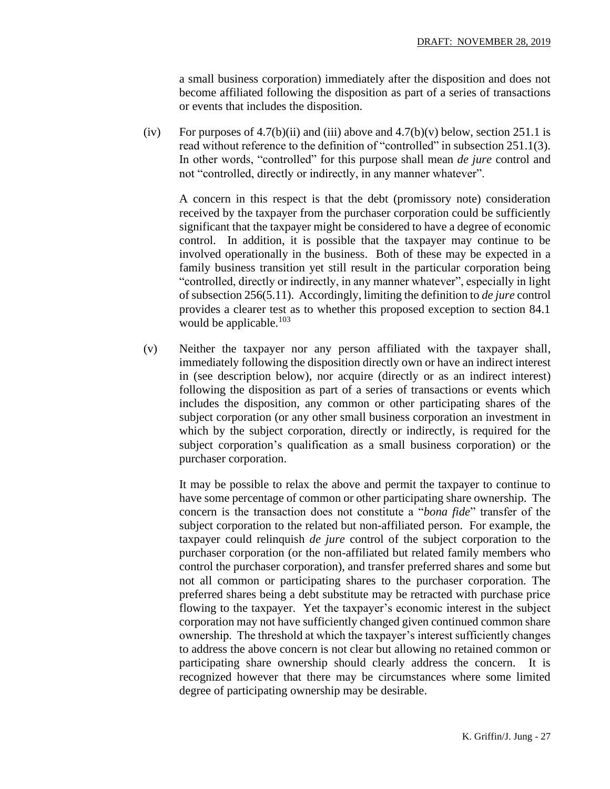a small business corporation) immediately after the disposition and does not become affiliated following the disposition as part of a series of transactions or events that includes the disposition.

(iv) For purposes of  $4.7(b)(ii)$  and (iii) above and  $4.7(b)(v)$  below, section 251.1 is read without reference to the definition of "controlled" in subsection 251.1(3). In other words, "controlled" for this purpose shall mean *de jure* control and not "controlled, directly or indirectly, in any manner whatever".

A concern in this respect is that the debt (promissory note) consideration received by the taxpayer from the purchaser corporation could be sufficiently significant that the taxpayer might be considered to have a degree of economic control. In addition, it is possible that the taxpayer may continue to be involved operationally in the business. Both of these may be expected in a family business transition yet still result in the particular corporation being "controlled, directly or indirectly, in any manner whatever", especially in light of subsection 256(5.11). Accordingly, limiting the definition to *de jure* control provides a clearer test as to whether this proposed exception to section 84.1 would be applicable.<sup>103</sup>

(v) Neither the taxpayer nor any person affiliated with the taxpayer shall, immediately following the disposition directly own or have an indirect interest in (see description below), nor acquire (directly or as an indirect interest) following the disposition as part of a series of transactions or events which includes the disposition, any common or other participating shares of the subject corporation (or any other small business corporation an investment in which by the subject corporation, directly or indirectly, is required for the subject corporation's qualification as a small business corporation) or the purchaser corporation.

It may be possible to relax the above and permit the taxpayer to continue to have some percentage of common or other participating share ownership. The concern is the transaction does not constitute a "*bona fide*" transfer of the subject corporation to the related but non-affiliated person. For example, the taxpayer could relinquish *de jure* control of the subject corporation to the purchaser corporation (or the non-affiliated but related family members who control the purchaser corporation), and transfer preferred shares and some but not all common or participating shares to the purchaser corporation. The preferred shares being a debt substitute may be retracted with purchase price flowing to the taxpayer. Yet the taxpayer's economic interest in the subject corporation may not have sufficiently changed given continued common share ownership. The threshold at which the taxpayer's interest sufficiently changes to address the above concern is not clear but allowing no retained common or participating share ownership should clearly address the concern. It is recognized however that there may be circumstances where some limited degree of participating ownership may be desirable.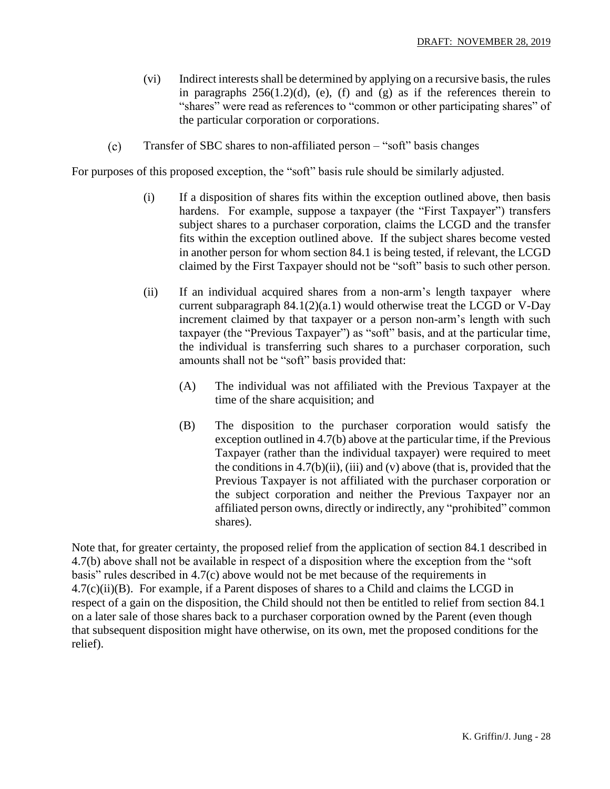- (vi) Indirect interestsshall be determined by applying on a recursive basis, the rules in paragraphs  $256(1.2)(d)$ , (e), (f) and (g) as if the references therein to "shares" were read as references to "common or other participating shares" of the particular corporation or corporations.
- $(c)$ Transfer of SBC shares to non-affiliated person – "soft" basis changes

For purposes of this proposed exception, the "soft" basis rule should be similarly adjusted.

- (i) If a disposition of shares fits within the exception outlined above, then basis hardens. For example, suppose a taxpayer (the "First Taxpayer") transfers subject shares to a purchaser corporation, claims the LCGD and the transfer fits within the exception outlined above. If the subject shares become vested in another person for whom section 84.1 is being tested, if relevant, the LCGD claimed by the First Taxpayer should not be "soft" basis to such other person.
- (ii) If an individual acquired shares from a non-arm's length taxpayer where current subparagraph  $84.1(2)(a.1)$  would otherwise treat the LCGD or V-Day increment claimed by that taxpayer or a person non-arm's length with such taxpayer (the "Previous Taxpayer") as "soft" basis, and at the particular time, the individual is transferring such shares to a purchaser corporation, such amounts shall not be "soft" basis provided that:
	- (A) The individual was not affiliated with the Previous Taxpayer at the time of the share acquisition; and
	- (B) The disposition to the purchaser corporation would satisfy the exception outlined in 4.7(b) above at the particular time, if the Previous Taxpayer (rather than the individual taxpayer) were required to meet the conditions in  $4.7(b)(ii)$ , (iii) and (v) above (that is, provided that the Previous Taxpayer is not affiliated with the purchaser corporation or the subject corporation and neither the Previous Taxpayer nor an affiliated person owns, directly or indirectly, any "prohibited" common shares).

Note that, for greater certainty, the proposed relief from the application of section 84.1 described in 4.7(b) above shall not be available in respect of a disposition where the exception from the "soft basis" rules described in 4.7(c) above would not be met because of the requirements in 4.7(c)(ii)(B). For example, if a Parent disposes of shares to a Child and claims the LCGD in respect of a gain on the disposition, the Child should not then be entitled to relief from section 84.1 on a later sale of those shares back to a purchaser corporation owned by the Parent (even though that subsequent disposition might have otherwise, on its own, met the proposed conditions for the relief).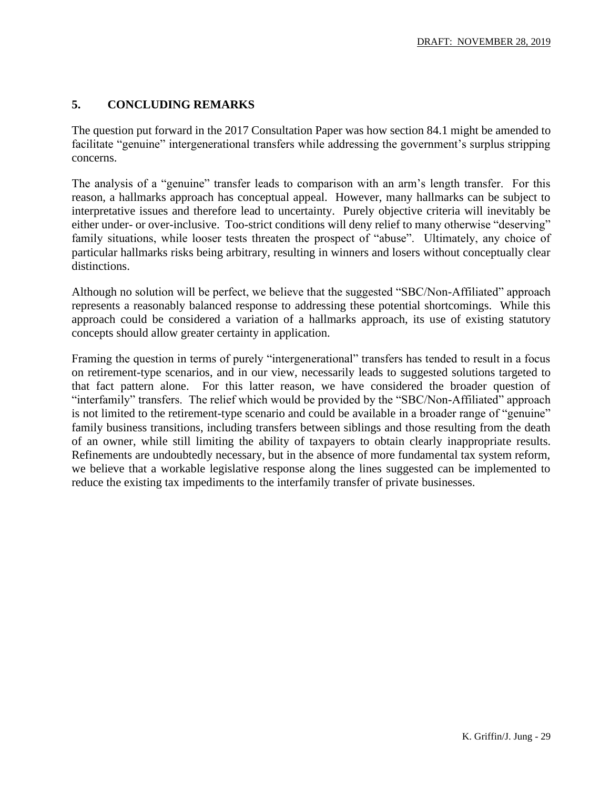### **5. CONCLUDING REMARKS**

The question put forward in the 2017 Consultation Paper was how section 84.1 might be amended to facilitate "genuine" intergenerational transfers while addressing the government's surplus stripping concerns.

The analysis of a "genuine" transfer leads to comparison with an arm's length transfer. For this reason, a hallmarks approach has conceptual appeal. However, many hallmarks can be subject to interpretative issues and therefore lead to uncertainty. Purely objective criteria will inevitably be either under- or over-inclusive. Too-strict conditions will deny relief to many otherwise "deserving" family situations, while looser tests threaten the prospect of "abuse". Ultimately, any choice of particular hallmarks risks being arbitrary, resulting in winners and losers without conceptually clear distinctions.

Although no solution will be perfect, we believe that the suggested "SBC/Non-Affiliated" approach represents a reasonably balanced response to addressing these potential shortcomings. While this approach could be considered a variation of a hallmarks approach, its use of existing statutory concepts should allow greater certainty in application.

Framing the question in terms of purely "intergenerational" transfers has tended to result in a focus on retirement-type scenarios, and in our view, necessarily leads to suggested solutions targeted to that fact pattern alone. For this latter reason, we have considered the broader question of "interfamily" transfers. The relief which would be provided by the "SBC/Non-Affiliated" approach is not limited to the retirement-type scenario and could be available in a broader range of "genuine" family business transitions, including transfers between siblings and those resulting from the death of an owner, while still limiting the ability of taxpayers to obtain clearly inappropriate results. Refinements are undoubtedly necessary, but in the absence of more fundamental tax system reform, we believe that a workable legislative response along the lines suggested can be implemented to reduce the existing tax impediments to the interfamily transfer of private businesses.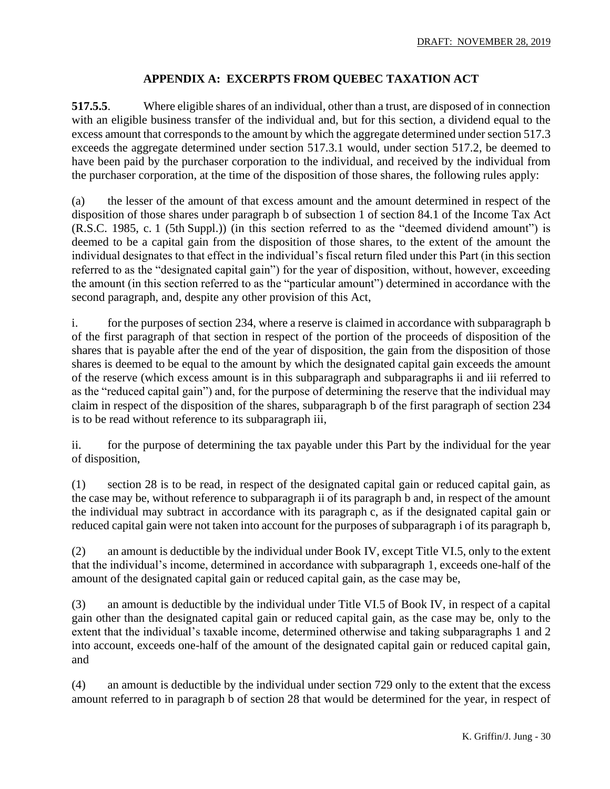### **APPENDIX A: EXCERPTS FROM QUEBEC TAXATION ACT**

**517.5.5**. Where eligible shares of an individual, other than a trust, are disposed of in connection with an eligible business transfer of the individual and, but for this section, a dividend equal to the excess amount that corresponds to the amount by which the aggregate determined under section 517.3 exceeds the aggregate determined under section 517.3.1 would, under section 517.2, be deemed to have been paid by the purchaser corporation to the individual, and received by the individual from the purchaser corporation, at the time of the disposition of those shares, the following rules apply:

(a) the lesser of the amount of that excess amount and the amount determined in respect of the disposition of those shares under paragraph b of subsection 1 of section 84.1 of the Income Tax Act (R.S.C. 1985, c. 1 (5th Suppl.)) (in this section referred to as the "deemed dividend amount") is deemed to be a capital gain from the disposition of those shares, to the extent of the amount the individual designates to that effect in the individual's fiscal return filed under this Part (in this section referred to as the "designated capital gain") for the year of disposition, without, however, exceeding the amount (in this section referred to as the "particular amount") determined in accordance with the second paragraph, and, despite any other provision of this Act,

i. for the purposes of section 234, where a reserve is claimed in accordance with subparagraph b of the first paragraph of that section in respect of the portion of the proceeds of disposition of the shares that is payable after the end of the year of disposition, the gain from the disposition of those shares is deemed to be equal to the amount by which the designated capital gain exceeds the amount of the reserve (which excess amount is in this subparagraph and subparagraphs ii and iii referred to as the "reduced capital gain") and, for the purpose of determining the reserve that the individual may claim in respect of the disposition of the shares, subparagraph b of the first paragraph of section 234 is to be read without reference to its subparagraph iii,

ii. for the purpose of determining the tax payable under this Part by the individual for the year of disposition,

(1) section 28 is to be read, in respect of the designated capital gain or reduced capital gain, as the case may be, without reference to subparagraph ii of its paragraph b and, in respect of the amount the individual may subtract in accordance with its paragraph c, as if the designated capital gain or reduced capital gain were not taken into account for the purposes of subparagraph i of its paragraph b,

(2) an amount is deductible by the individual under Book IV, except Title VI.5, only to the extent that the individual's income, determined in accordance with subparagraph 1, exceeds one-half of the amount of the designated capital gain or reduced capital gain, as the case may be,

(3) an amount is deductible by the individual under Title VI.5 of Book IV, in respect of a capital gain other than the designated capital gain or reduced capital gain, as the case may be, only to the extent that the individual's taxable income, determined otherwise and taking subparagraphs 1 and 2 into account, exceeds one-half of the amount of the designated capital gain or reduced capital gain, and

(4) an amount is deductible by the individual under section 729 only to the extent that the excess amount referred to in paragraph b of section 28 that would be determined for the year, in respect of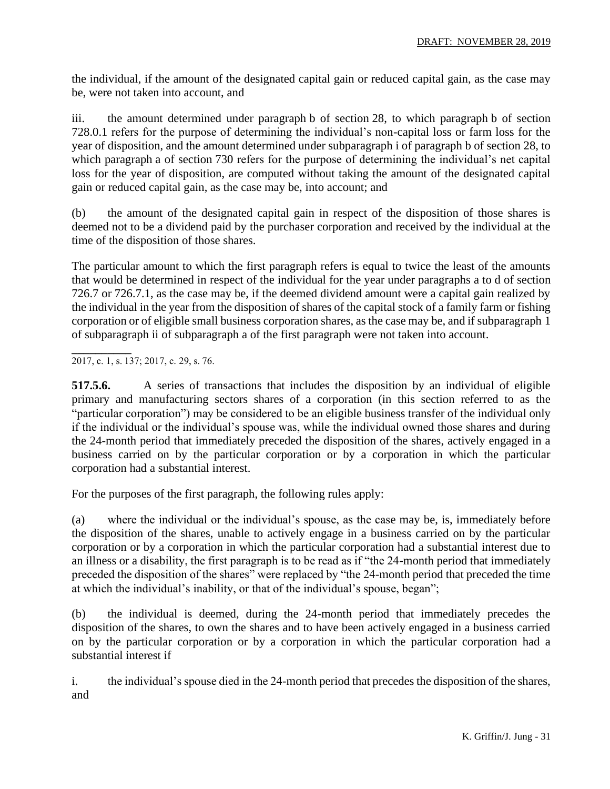the individual, if the amount of the designated capital gain or reduced capital gain, as the case may be, were not taken into account, and

iii. the amount determined under paragraph b of section 28, to which paragraph b of section 728.0.1 refers for the purpose of determining the individual's non-capital loss or farm loss for the year of disposition, and the amount determined under subparagraph i of paragraph b of section 28, to which paragraph a of section 730 refers for the purpose of determining the individual's net capital loss for the year of disposition, are computed without taking the amount of the designated capital gain or reduced capital gain, as the case may be, into account; and

(b) the amount of the designated capital gain in respect of the disposition of those shares is deemed not to be a dividend paid by the purchaser corporation and received by the individual at the time of the disposition of those shares.

The particular amount to which the first paragraph refers is equal to twice the least of the amounts that would be determined in respect of the individual for the year under paragraphs a to d of section 726.7 or 726.7.1, as the case may be, if the deemed dividend amount were a capital gain realized by the individual in the year from the disposition of shares of the capital stock of a family farm or fishing corporation or of eligible small business corporation shares, as the case may be, and if subparagraph 1 of subparagraph ii of subparagraph a of the first paragraph were not taken into account.

**\_\_\_\_\_\_\_\_\_\_** 2017, c. 1, s. 137; 2017, c. 29, s. 76.

**517.5.6.** A series of transactions that includes the disposition by an individual of eligible primary and manufacturing sectors shares of a corporation (in this section referred to as the "particular corporation") may be considered to be an eligible business transfer of the individual only if the individual or the individual's spouse was, while the individual owned those shares and during the 24-month period that immediately preceded the disposition of the shares, actively engaged in a business carried on by the particular corporation or by a corporation in which the particular corporation had a substantial interest.

For the purposes of the first paragraph, the following rules apply:

(a) where the individual or the individual's spouse, as the case may be, is, immediately before the disposition of the shares, unable to actively engage in a business carried on by the particular corporation or by a corporation in which the particular corporation had a substantial interest due to an illness or a disability, the first paragraph is to be read as if "the 24-month period that immediately preceded the disposition of the shares" were replaced by "the 24-month period that preceded the time at which the individual's inability, or that of the individual's spouse, began";

(b) the individual is deemed, during the 24-month period that immediately precedes the disposition of the shares, to own the shares and to have been actively engaged in a business carried on by the particular corporation or by a corporation in which the particular corporation had a substantial interest if

i. the individual's spouse died in the 24-month period that precedes the disposition of the shares, and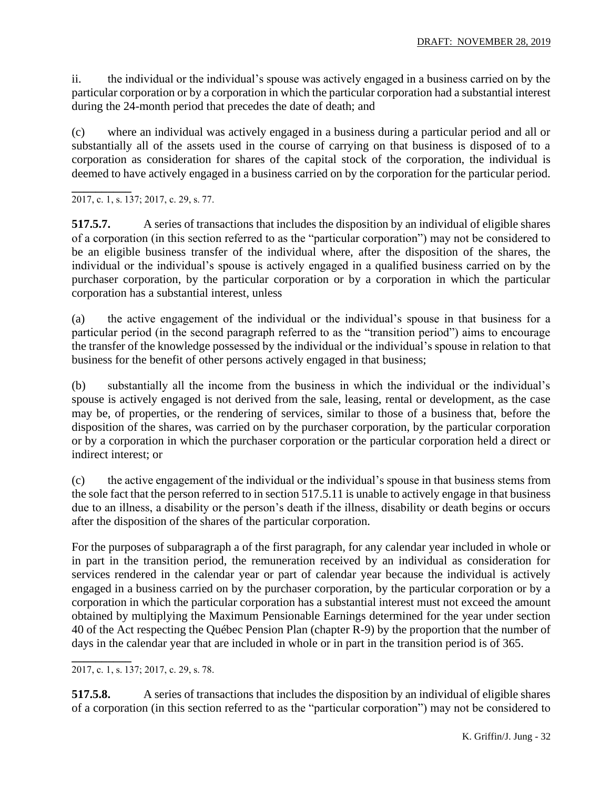ii. the individual or the individual's spouse was actively engaged in a business carried on by the particular corporation or by a corporation in which the particular corporation had a substantial interest during the 24-month period that precedes the date of death; and

(c) where an individual was actively engaged in a business during a particular period and all or substantially all of the assets used in the course of carrying on that business is disposed of to a corporation as consideration for shares of the capital stock of the corporation, the individual is deemed to have actively engaged in a business carried on by the corporation for the particular period.

**\_\_\_\_\_\_\_\_\_\_** 2017, c. 1, s. 137; 2017, c. 29, s. 77.

**517.5.7.** A series of transactions that includes the disposition by an individual of eligible shares of a corporation (in this section referred to as the "particular corporation") may not be considered to be an eligible business transfer of the individual where, after the disposition of the shares, the individual or the individual's spouse is actively engaged in a qualified business carried on by the purchaser corporation, by the particular corporation or by a corporation in which the particular corporation has a substantial interest, unless

(a) the active engagement of the individual or the individual's spouse in that business for a particular period (in the second paragraph referred to as the "transition period") aims to encourage the transfer of the knowledge possessed by the individual or the individual's spouse in relation to that business for the benefit of other persons actively engaged in that business;

(b) substantially all the income from the business in which the individual or the individual's spouse is actively engaged is not derived from the sale, leasing, rental or development, as the case may be, of properties, or the rendering of services, similar to those of a business that, before the disposition of the shares, was carried on by the purchaser corporation, by the particular corporation or by a corporation in which the purchaser corporation or the particular corporation held a direct or indirect interest; or

(c) the active engagement of the individual or the individual's spouse in that business stems from the sole fact that the person referred to in section 517.5.11 is unable to actively engage in that business due to an illness, a disability or the person's death if the illness, disability or death begins or occurs after the disposition of the shares of the particular corporation.

For the purposes of subparagraph a of the first paragraph, for any calendar year included in whole or in part in the transition period, the remuneration received by an individual as consideration for services rendered in the calendar year or part of calendar year because the individual is actively engaged in a business carried on by the purchaser corporation, by the particular corporation or by a corporation in which the particular corporation has a substantial interest must not exceed the amount obtained by multiplying the Maximum Pensionable Earnings determined for the year under section 40 of the Act respecting the Québec Pension Plan (chapter R-9) by the proportion that the number of days in the calendar year that are included in whole or in part in the transition period is of 365.

**\_\_\_\_\_\_\_\_\_\_**

**517.5.8.** A series of transactions that includes the disposition by an individual of eligible shares of a corporation (in this section referred to as the "particular corporation") may not be considered to

<sup>2017,</sup> c. 1, s. 137; 2017, c. 29, s. 78.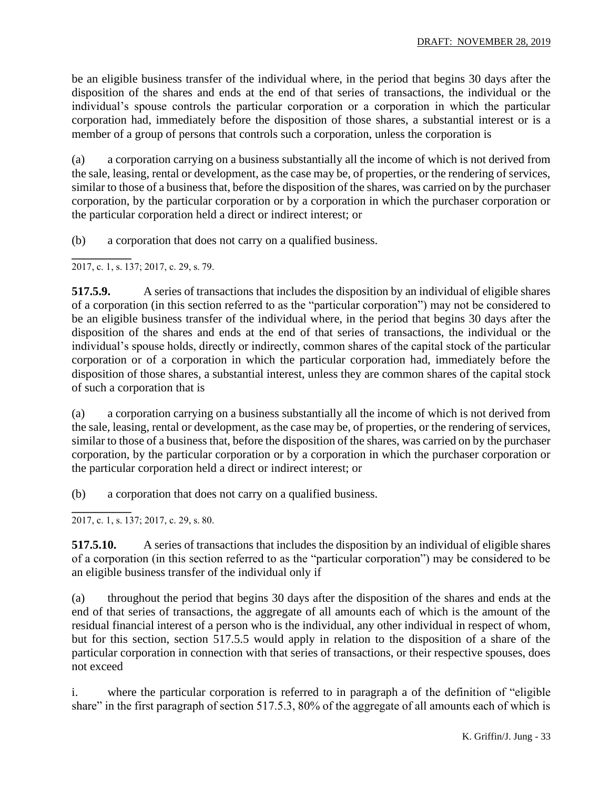be an eligible business transfer of the individual where, in the period that begins 30 days after the disposition of the shares and ends at the end of that series of transactions, the individual or the individual's spouse controls the particular corporation or a corporation in which the particular corporation had, immediately before the disposition of those shares, a substantial interest or is a member of a group of persons that controls such a corporation, unless the corporation is

(a) a corporation carrying on a business substantially all the income of which is not derived from the sale, leasing, rental or development, as the case may be, of properties, or the rendering of services, similar to those of a business that, before the disposition of the shares, was carried on by the purchaser corporation, by the particular corporation or by a corporation in which the purchaser corporation or the particular corporation held a direct or indirect interest; or

(b) a corporation that does not carry on a qualified business.

**\_\_\_\_\_\_\_\_\_\_** 2017, c. 1, s. 137; 2017, c. 29, s. 79.

**517.5.9.** A series of transactions that includes the disposition by an individual of eligible shares of a corporation (in this section referred to as the "particular corporation") may not be considered to be an eligible business transfer of the individual where, in the period that begins 30 days after the disposition of the shares and ends at the end of that series of transactions, the individual or the individual's spouse holds, directly or indirectly, common shares of the capital stock of the particular corporation or of a corporation in which the particular corporation had, immediately before the disposition of those shares, a substantial interest, unless they are common shares of the capital stock of such a corporation that is

(a) a corporation carrying on a business substantially all the income of which is not derived from the sale, leasing, rental or development, as the case may be, of properties, or the rendering of services, similar to those of a business that, before the disposition of the shares, was carried on by the purchaser corporation, by the particular corporation or by a corporation in which the purchaser corporation or the particular corporation held a direct or indirect interest; or

(b) a corporation that does not carry on a qualified business.

**\_\_\_\_\_\_\_\_\_\_** 2017, c. 1, s. 137; 2017, c. 29, s. 80.

**517.5.10.** A series of transactions that includes the disposition by an individual of eligible shares of a corporation (in this section referred to as the "particular corporation") may be considered to be an eligible business transfer of the individual only if

(a) throughout the period that begins 30 days after the disposition of the shares and ends at the end of that series of transactions, the aggregate of all amounts each of which is the amount of the residual financial interest of a person who is the individual, any other individual in respect of whom, but for this section, section 517.5.5 would apply in relation to the disposition of a share of the particular corporation in connection with that series of transactions, or their respective spouses, does not exceed

i. where the particular corporation is referred to in paragraph a of the definition of "eligible share" in the first paragraph of section 517.5.3, 80% of the aggregate of all amounts each of which is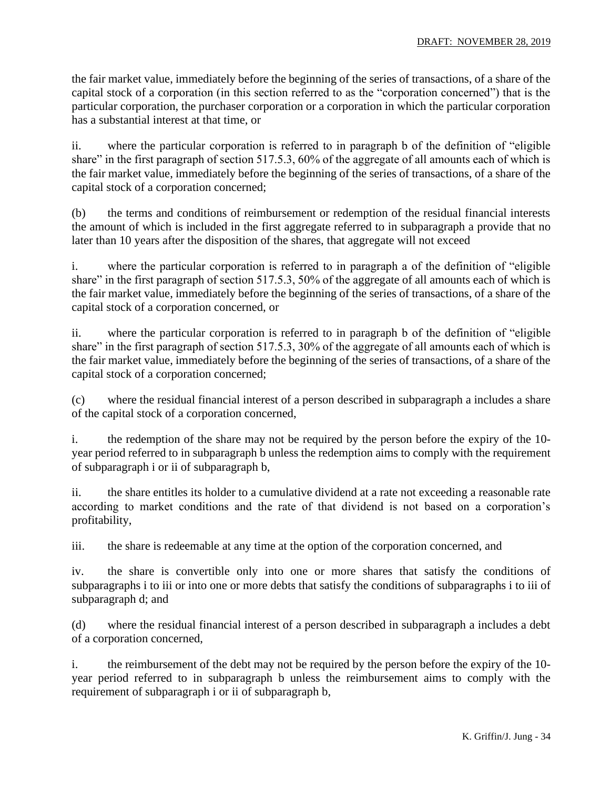the fair market value, immediately before the beginning of the series of transactions, of a share of the capital stock of a corporation (in this section referred to as the "corporation concerned") that is the particular corporation, the purchaser corporation or a corporation in which the particular corporation has a substantial interest at that time, or

ii. where the particular corporation is referred to in paragraph b of the definition of "eligible share" in the first paragraph of section 517.5.3, 60% of the aggregate of all amounts each of which is the fair market value, immediately before the beginning of the series of transactions, of a share of the capital stock of a corporation concerned;

(b) the terms and conditions of reimbursement or redemption of the residual financial interests the amount of which is included in the first aggregate referred to in subparagraph a provide that no later than 10 years after the disposition of the shares, that aggregate will not exceed

i. where the particular corporation is referred to in paragraph a of the definition of "eligible share" in the first paragraph of section 517.5.3, 50% of the aggregate of all amounts each of which is the fair market value, immediately before the beginning of the series of transactions, of a share of the capital stock of a corporation concerned, or

ii. where the particular corporation is referred to in paragraph b of the definition of "eligible share" in the first paragraph of section 517.5.3, 30% of the aggregate of all amounts each of which is the fair market value, immediately before the beginning of the series of transactions, of a share of the capital stock of a corporation concerned;

(c) where the residual financial interest of a person described in subparagraph a includes a share of the capital stock of a corporation concerned,

i. the redemption of the share may not be required by the person before the expiry of the 10 year period referred to in subparagraph b unless the redemption aims to comply with the requirement of subparagraph i or ii of subparagraph b,

ii. the share entitles its holder to a cumulative dividend at a rate not exceeding a reasonable rate according to market conditions and the rate of that dividend is not based on a corporation's profitability,

iii. the share is redeemable at any time at the option of the corporation concerned, and

iv. the share is convertible only into one or more shares that satisfy the conditions of subparagraphs i to iii or into one or more debts that satisfy the conditions of subparagraphs i to iii of subparagraph d; and

(d) where the residual financial interest of a person described in subparagraph a includes a debt of a corporation concerned,

i. the reimbursement of the debt may not be required by the person before the expiry of the 10 year period referred to in subparagraph b unless the reimbursement aims to comply with the requirement of subparagraph i or ii of subparagraph b,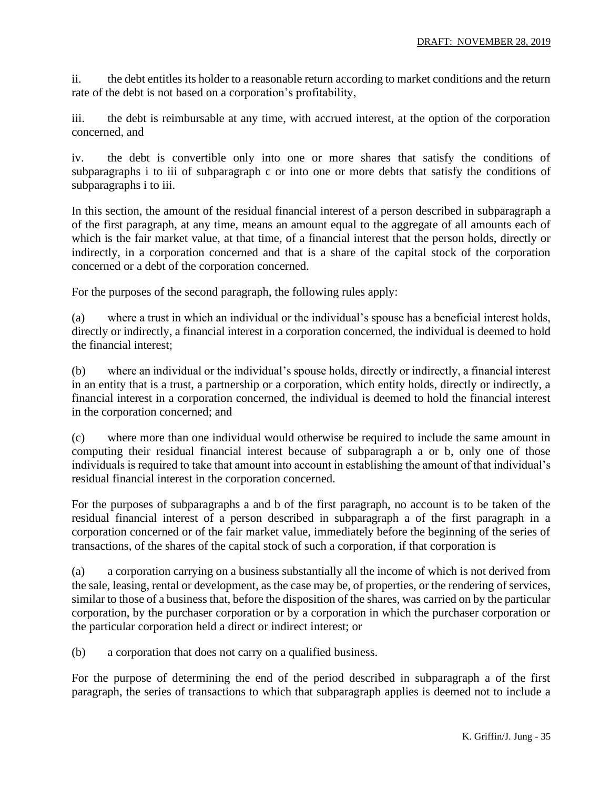ii. the debt entitles its holder to a reasonable return according to market conditions and the return rate of the debt is not based on a corporation's profitability,

iii. the debt is reimbursable at any time, with accrued interest, at the option of the corporation concerned, and

iv. the debt is convertible only into one or more shares that satisfy the conditions of subparagraphs i to iii of subparagraph c or into one or more debts that satisfy the conditions of subparagraphs i to iii.

In this section, the amount of the residual financial interest of a person described in subparagraph a of the first paragraph, at any time, means an amount equal to the aggregate of all amounts each of which is the fair market value, at that time, of a financial interest that the person holds, directly or indirectly, in a corporation concerned and that is a share of the capital stock of the corporation concerned or a debt of the corporation concerned.

For the purposes of the second paragraph, the following rules apply:

(a) where a trust in which an individual or the individual's spouse has a beneficial interest holds, directly or indirectly, a financial interest in a corporation concerned, the individual is deemed to hold the financial interest;

(b) where an individual or the individual's spouse holds, directly or indirectly, a financial interest in an entity that is a trust, a partnership or a corporation, which entity holds, directly or indirectly, a financial interest in a corporation concerned, the individual is deemed to hold the financial interest in the corporation concerned; and

(c) where more than one individual would otherwise be required to include the same amount in computing their residual financial interest because of subparagraph a or b, only one of those individuals is required to take that amount into account in establishing the amount of that individual's residual financial interest in the corporation concerned.

For the purposes of subparagraphs a and b of the first paragraph, no account is to be taken of the residual financial interest of a person described in subparagraph a of the first paragraph in a corporation concerned or of the fair market value, immediately before the beginning of the series of transactions, of the shares of the capital stock of such a corporation, if that corporation is

(a) a corporation carrying on a business substantially all the income of which is not derived from the sale, leasing, rental or development, as the case may be, of properties, or the rendering of services, similar to those of a business that, before the disposition of the shares, was carried on by the particular corporation, by the purchaser corporation or by a corporation in which the purchaser corporation or the particular corporation held a direct or indirect interest; or

(b) a corporation that does not carry on a qualified business.

For the purpose of determining the end of the period described in subparagraph a of the first paragraph, the series of transactions to which that subparagraph applies is deemed not to include a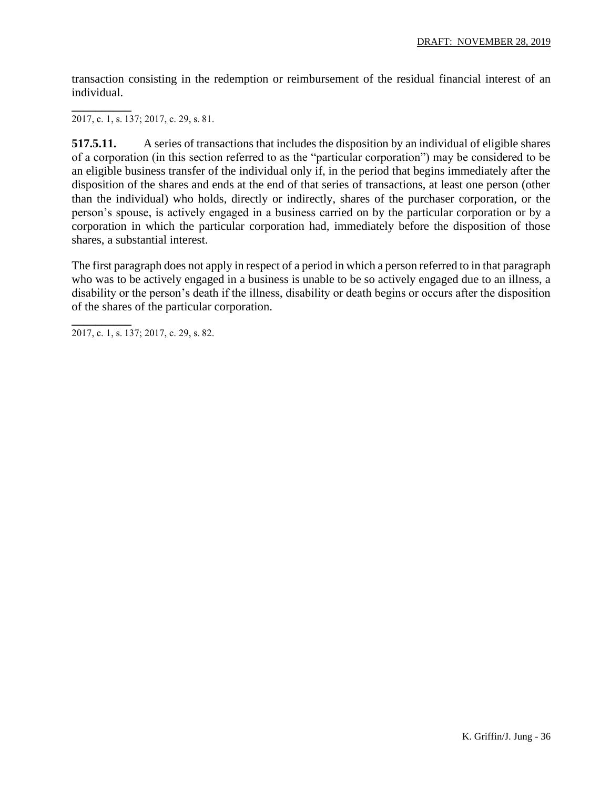transaction consisting in the redemption or reimbursement of the residual financial interest of an individual.

**\_\_\_\_\_\_\_\_\_\_** 2017, c. 1, s. 137; 2017, c. 29, s. 81.

**517.5.11.** A series of transactions that includes the disposition by an individual of eligible shares of a corporation (in this section referred to as the "particular corporation") may be considered to be an eligible business transfer of the individual only if, in the period that begins immediately after the disposition of the shares and ends at the end of that series of transactions, at least one person (other than the individual) who holds, directly or indirectly, shares of the purchaser corporation, or the person's spouse, is actively engaged in a business carried on by the particular corporation or by a corporation in which the particular corporation had, immediately before the disposition of those shares, a substantial interest.

The first paragraph does not apply in respect of a period in which a person referred to in that paragraph who was to be actively engaged in a business is unable to be so actively engaged due to an illness, a disability or the person's death if the illness, disability or death begins or occurs after the disposition of the shares of the particular corporation.

**\_\_\_\_\_\_\_\_\_\_** 2017, c. 1, s. 137; 2017, c. 29, s. 82.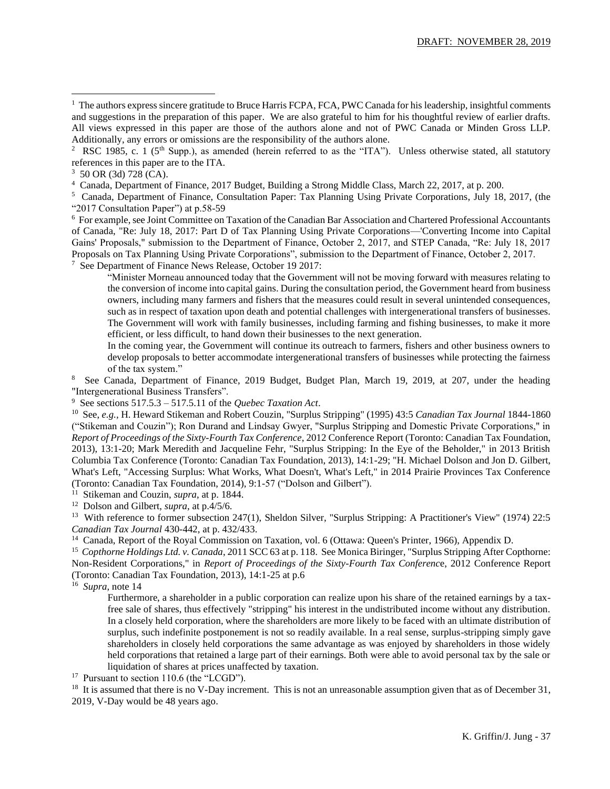4 Canada, Department of Finance, 2017 Budget, Building a Strong Middle Class, March 22, 2017, at p. 200.

<sup>6</sup> For example, see Joint Committee on Taxation of the Canadian Bar Association and Chartered Professional Accountants of Canada, "Re: July 18, 2017: Part D of Tax Planning Using Private Corporations—'Converting Income into Capital Gains' Proposals," submission to the Department of Finance, October 2, 2017, and STEP Canada, "Re: July 18, 2017 Proposals on Tax Planning Using Private Corporations", submission to the Department of Finance, October 2, 2017. 7 See Department of Finance News Release, October 19 2017:

"Minister Morneau announced today that the Government will not be moving forward with measures relating to the conversion of income into capital gains. During the consultation period, the Government heard from business owners, including many farmers and fishers that the measures could result in several unintended consequences, such as in respect of taxation upon death and potential challenges with intergenerational transfers of businesses. The Government will work with family businesses, including farming and fishing businesses, to make it more efficient, or less difficult, to hand down their businesses to the next generation.

In the coming year, the Government will continue its outreach to farmers, fishers and other business owners to develop proposals to better accommodate intergenerational transfers of businesses while protecting the fairness of the tax system."

8 See Canada, Department of Finance, 2019 Budget, Budget Plan, March 19, 2019, at 207, under the heading "Intergenerational Business Transfers".

9 See sections 517.5.3 – 517.5.11 of the *Quebec Taxation Act*.

<sup>10</sup> See, *e.g.,* H. Heward Stikeman and Robert Couzin, "Surplus Stripping" (1995) 43:5 *Canadian Tax Journal* 1844-1860 ("Stikeman and Couzin"); Ron Durand and Lindsay Gwyer, "Surplus Stripping and Domestic Private Corporations," in *Report of Proceedings of the Sixty-Fourth Tax Conference*, 2012 Conference Report (Toronto: Canadian Tax Foundation, 2013), 13:1-20; Mark Meredith and Jacqueline Fehr, "Surplus Stripping: In the Eye of the Beholder," in 2013 British Columbia Tax Conference (Toronto: Canadian Tax Foundation, 2013), 14:1-29; "H. Michael Dolson and Jon D. Gilbert, What's Left, "Accessing Surplus: What Works, What Doesn't, What's Left," in 2014 Prairie Provinces Tax Conference (Toronto: Canadian Tax Foundation, 2014), 9:1-57 ("Dolson and Gilbert").

<sup>11</sup> Stikeman and Couzin, *supra*, at p. 1844.

12 Dolson and Gilbert, *supra*, at p.4/5/6.

<sup>13</sup> With reference to former subsection 247(1), Sheldon Silver, "Surplus Stripping: A Practitioner's View" (1974) 22:5 *Canadian Tax Journal* 430-442, at p. 432/433.

<sup>14</sup> Canada, Report of the Royal Commission on Taxation, vol. 6 (Ottawa: Queen's Printer, 1966), Appendix D.

<sup>15</sup> *Copthorne Holdings Ltd. v. Canada*, 2011 SCC 63 at p. 118. See Monica Biringer, "Surplus Stripping After Copthorne: Non-Resident Corporations," in *Report of Proceedings of the Sixty-Fourth Tax Conferenc*e, 2012 Conference Report (Toronto: Canadian Tax Foundation, 2013), 14:1-25 at p.6

<sup>16</sup> *Supra*, note 14

Furthermore, a shareholder in a public corporation can realize upon his share of the retained earnings by a taxfree sale of shares, thus effectively "stripping" his interest in the undistributed income without any distribution. In a closely held corporation, where the shareholders are more likely to be faced with an ultimate distribution of surplus, such indefinite postponement is not so readily available. In a real sense, surplus-stripping simply gave shareholders in closely held corporations the same advantage as was enjoyed by shareholders in those widely held corporations that retained a large part of their earnings. Both were able to avoid personal tax by the sale or liquidation of shares at prices unaffected by taxation.

<sup>17</sup> Pursuant to section 110.6 (the "LCGD").

<sup>18</sup> It is assumed that there is no V-Day increment. This is not an unreasonable assumption given that as of December 31, 2019, V-Day would be 48 years ago.

 $<sup>1</sup>$  The authors express sincere gratitude to Bruce Harris FCPA, FCA, PWC Canada for his leadership, insightful comments</sup> and suggestions in the preparation of this paper. We are also grateful to him for his thoughtful review of earlier drafts. All views expressed in this paper are those of the authors alone and not of PWC Canada or Minden Gross LLP. Additionally, any errors or omissions are the responsibility of the authors alone.

<sup>&</sup>lt;sup>2</sup> RSC 1985, c. 1 (5<sup>th</sup> Supp.), as amended (herein referred to as the "ITA"). Unless otherwise stated, all statutory references in this paper are to the ITA.

 $3\,$  50 OR (3d) 728 (CA).

<sup>&</sup>lt;sup>5</sup> Canada, Department of Finance, Consultation Paper: Tax Planning Using Private Corporations, July 18, 2017, (the "2017 Consultation Paper") at p.58-59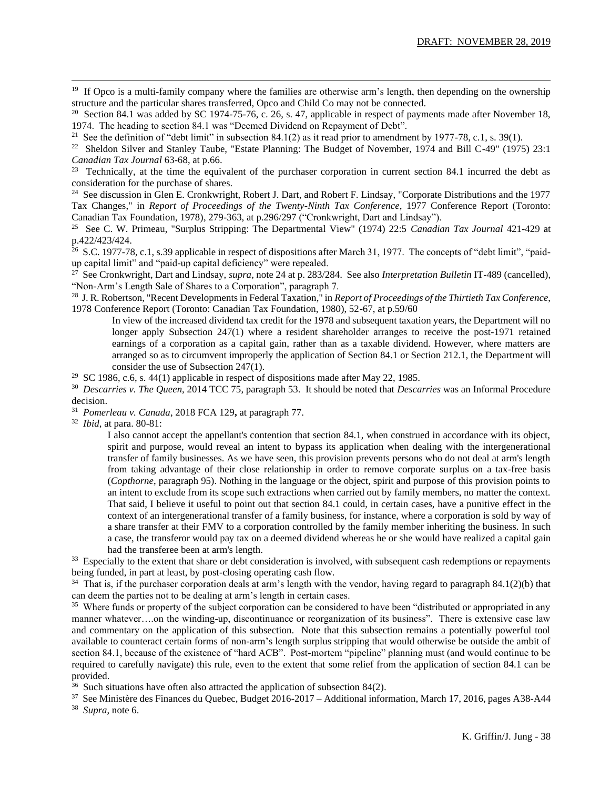<sup>19</sup> If Opco is a multi-family company where the families are otherwise arm's length, then depending on the ownership structure and the particular shares transferred, Opco and Child Co may not be connected.

<sup>20</sup> Section 84.1 was added by SC 1974-75-76, c. 26, s. 47, applicable in respect of payments made after November 18, 1974. The heading to section 84.1 was "Deemed Dividend on Repayment of Debt".

<sup>21</sup> See the definition of "debt limit" in subsection 84.1(2) as it read prior to amendment by 1977-78, c.1, s. 39(1).

<sup>22</sup> Sheldon Silver and Stanley Taube, "Estate Planning: The Budget of November, 1974 and Bill C-49" (1975) 23:1 *Canadian Tax Journal* 63-68, at p.66.

<sup>23</sup> Technically, at the time the equivalent of the purchaser corporation in current section 84.1 incurred the debt as consideration for the purchase of shares.

<sup>24</sup> See discussion in Glen E. Cronkwright, Robert J. Dart, and Robert F. Lindsay, "Corporate Distributions and the 1977 Tax Changes," in *Report of Proceedings of the Twenty-Ninth Tax Conference*, 1977 Conference Report (Toronto: Canadian Tax Foundation, 1978), 279-363, at p.296/297 ("Cronkwright, Dart and Lindsay").<br><sup>25</sup> See C. W. Primeau, "Surplus Stripping: The Departmental View" (1974) 22:5 *Canadia* 

<sup>25</sup> See C. W. Primeau, "Surplus Stripping: The Departmental View" (1974) 22:5 *Canadian Tax Journal* 421-429 at p.422/423/424.

<sup>26</sup> S.C. 1977-78, c.1, s.39 applicable in respect of dispositions after March 31, 1977. The concepts of "debt limit", "paidup capital limit" and "paid-up capital deficiency" were repealed.

27 See Cronkwright, Dart and Lindsay, *supra*, note 24 at p. 283/284. See also *Interpretation Bulletin* IT-489 (cancelled), "Non-Arm's Length Sale of Shares to a Corporation", paragraph 7.

28 J. R. Robertson, "Recent Developments in Federal Taxation," in *Report of Proceedings of the Thirtieth Tax Conference*, 1978 Conference Report (Toronto: Canadian Tax Foundation, 1980), 52-67, at p.59/60

In view of the increased dividend tax credit for the 1978 and subsequent taxation years, the Department will no longer apply Subsection 247(1) where a resident shareholder arranges to receive the post-1971 retained earnings of a corporation as a capital gain, rather than as a taxable dividend. However, where matters are arranged so as to circumvent improperly the application of Section 84.1 or Section 212.1, the Department will consider the use of Subsection 247(1).

<sup>29</sup> SC 1986, c.6, s. 44(1) applicable in respect of dispositions made after May 22, 1985.

<sup>30</sup> *Descarries v. The Queen*, 2014 TCC 75, paragraph 53. It should be noted that *Descarries* was an Informal Procedure decision.

31 *Pomerleau v. Canada*, 2018 FCA 129**,** at paragraph 77.

<sup>32</sup> *Ibid*, at para. 80-81:

I also cannot accept the appellant's contention that section 84.1, when construed in accordance with its object, spirit and purpose, would reveal an intent to bypass its application when dealing with the intergenerational transfer of family businesses. As we have seen, this provision prevents persons who do not deal at arm's length from taking advantage of their close relationship in order to remove corporate surplus on a tax-free basis (*Copthorne*, paragraph 95). Nothing in the language or the object, spirit and purpose of this provision points to an intent to exclude from its scope such extractions when carried out by family members, no matter the context. That said, I believe it useful to point out that section 84.1 could, in certain cases, have a punitive effect in the context of an intergenerational transfer of a family business, for instance, where a corporation is sold by way of a share transfer at their FMV to a corporation controlled by the family member inheriting the business. In such a case, the transferor would pay tax on a deemed dividend whereas he or she would have realized a capital gain had the transferee been at arm's length.

<sup>33</sup> Especially to the extent that share or debt consideration is involved, with subsequent cash redemptions or repayments being funded, in part at least, by post-closing operating cash flow.

 $34$  That is, if the purchaser corporation deals at arm's length with the vendor, having regard to paragraph 84.1(2)(b) that can deem the parties not to be dealing at arm's length in certain cases.

<sup>35</sup> Where funds or property of the subject corporation can be considered to have been "distributed or appropriated in any manner whatever….on the winding-up, discontinuance or reorganization of its business". There is extensive case law and commentary on the application of this subsection. Note that this subsection remains a potentially powerful tool available to counteract certain forms of non-arm's length surplus stripping that would otherwise be outside the ambit of section 84.1, because of the existence of "hard ACB". Post-mortem "pipeline" planning must (and would continue to be required to carefully navigate) this rule, even to the extent that some relief from the application of section 84.1 can be provided.

 $36$  Such situations have often also attracted the application of subsection 84(2).

<sup>37</sup> See Ministère des Finances du Quebec, Budget 2016-2017 – Additional information, March 17, 2016, pages A38-A44 <sup>38</sup> *Supra*, note 6.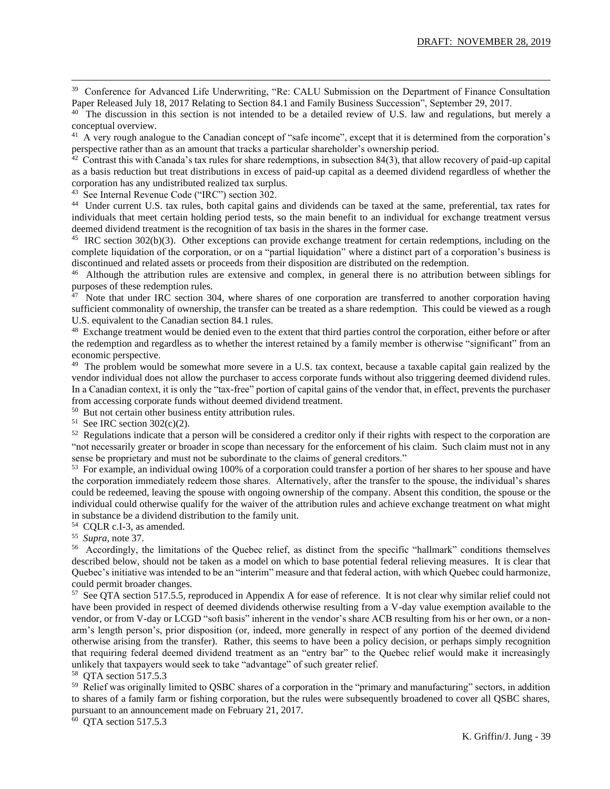<sup>39</sup> Conference for Advanced Life Underwriting, "Re: CALU Submission on the Department of Finance Consultation Paper Released July 18, 2017 Relating to Section 84.1 and Family Business Succession", September 29, 2017.

<sup>40</sup> The discussion in this section is not intended to be a detailed review of U.S. law and regulations, but merely a conceptual overview.

<sup>41</sup> A very rough analogue to the Canadian concept of "safe income", except that it is determined from the corporation's perspective rather than as an amount that tracks a particular shareholder's ownership period.<br><sup>42</sup> Contrast this with Canada's tax rules for share redemptions, in subsection 84(3), that allow recovery of paid-up capital

as a basis reduction but treat distributions in excess of paid-up capital as a deemed dividend regardless of whether the corporation has any undistributed realized tax surplus.

43 See Internal Revenue Code ("IRC") section 302.

44 Under current U.S. tax rules, both capital gains and dividends can be taxed at the same, preferential, tax rates for individuals that meet certain holding period tests, so the main benefit to an individual for exchange treatment versus deemed dividend treatment is the recognition of tax basis in the shares in the former case.

<sup>45</sup> IRC section 302(b)(3). Other exceptions can provide exchange treatment for certain redemptions, including on the complete liquidation of the corporation, or on a "partial liquidation" where a distinct part of a corporation's business is discontinued and related assets or proceeds from their disposition are distributed on the redemption.

<sup>46</sup> Although the attribution rules are extensive and complex, in general there is no attribution between siblings for purposes of these redemption rules.<br><sup>47</sup> Note that under IRC section 304, where shares of one corporation are transferred to another corporation having

sufficient commonality of ownership, the transfer can be treated as a share redemption. This could be viewed as a rough U.S. equivalent to the Canadian section 84.1 rules.

<sup>48</sup> Exchange treatment would be denied even to the extent that third parties control the corporation, either before or after the redemption and regardless as to whether the interest retained by a family member is otherwise "significant" from an economic perspective.

<sup>49</sup> The problem would be somewhat more severe in a U.S. tax context, because a taxable capital gain realized by the vendor individual does not allow the purchaser to access corporate funds without also triggering deemed dividend rules. In a Canadian context, it is only the "tax-free" portion of capital gains of the vendor that, in effect, prevents the purchaser from accessing corporate funds without deemed dividend treatment.

50 But not certain other business entity attribution rules.

<sup>51</sup> See IRC section  $302(c)(2)$ .

 $52$  Regulations indicate that a person will be considered a creditor only if their rights with respect to the corporation are "not necessarily greater or broader in scope than necessary for the enforcement of his claim. Such claim must not in any sense be proprietary and must not be subordinate to the claims of general creditors."

 $53$  For example, an individual owing 100% of a corporation could transfer a portion of her shares to her spouse and have the corporation immediately redeem those shares. Alternatively, after the transfer to the spouse, the individual's shares could be redeemed, leaving the spouse with ongoing ownership of the company. Absent this condition, the spouse or the individual could otherwise qualify for the waiver of the attribution rules and achieve exchange treatment on what might in substance be a dividend distribution to the family unit.

54 CQLR c.I-3, as amended.

<sup>55</sup> *Supra*, note 37.

<sup>56</sup> Accordingly, the limitations of the Quebec relief, as distinct from the specific "hallmark" conditions themselves described below, should not be taken as a model on which to base potential federal relieving measures. It is clear that Quebec's initiative was intended to be an "interim" measure and that federal action, with which Quebec could harmonize, could permit broader changes.

<sup>57</sup> See QTA section 517.5.5, reproduced in Appendix A for ease of reference. It is not clear why similar relief could not have been provided in respect of deemed dividends otherwise resulting from a V-day value exemption available to the vendor, or from V-day or LCGD "soft basis" inherent in the vendor's share ACB resulting from his or her own, or a nonarm's length person's, prior disposition (or, indeed, more generally in respect of any portion of the deemed dividend otherwise arising from the transfer). Rather, this seems to have been a policy decision, or perhaps simply recognition that requiring federal deemed dividend treatment as an "entry bar" to the Quebec relief would make it increasingly unlikely that taxpayers would seek to take "advantage" of such greater relief.

<sup>58</sup> QTA section 517.5.3

<sup>59</sup> Relief was originally limited to QSBC shares of a corporation in the "primary and manufacturing" sectors, in addition to shares of a family farm or fishing corporation, but the rules were subsequently broadened to cover all QSBC shares, pursuant to an announcement made on February 21, 2017.

<sup>60</sup> QTA section 517.5.3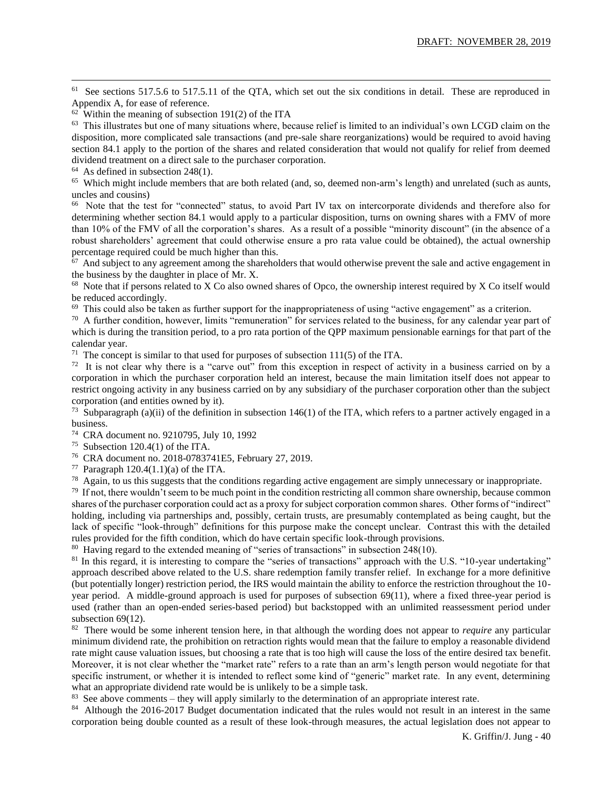<sup>61</sup> See sections 517.5.6 to 517.5.11 of the QTA, which set out the six conditions in detail. These are reproduced in Appendix A, for ease of reference.

 $<sup>63</sup>$  This illustrates but one of many situations where, because relief is limited to an individual's own LCGD claim on the</sup> disposition, more complicated sale transactions (and pre-sale share reorganizations) would be required to avoid having section 84.1 apply to the portion of the shares and related consideration that would not qualify for relief from deemed dividend treatment on a direct sale to the purchaser corporation.

 $64$  As defined in subsection 248(1).

<sup>65</sup> Which might include members that are both related (and, so, deemed non-arm's length) and unrelated (such as aunts, uncles and cousins)

<sup>66</sup> Note that the test for "connected" status, to avoid Part IV tax on intercorporate dividends and therefore also for determining whether section 84.1 would apply to a particular disposition, turns on owning shares with a FMV of more than 10% of the FMV of all the corporation's shares. As a result of a possible "minority discount" (in the absence of a robust shareholders' agreement that could otherwise ensure a pro rata value could be obtained), the actual ownership percentage required could be much higher than this.

 $67$  And subject to any agreement among the shareholders that would otherwise prevent the sale and active engagement in the business by the daughter in place of Mr. X.

<sup>68</sup> Note that if persons related to X Co also owned shares of Opco, the ownership interest required by X Co itself would be reduced accordingly.

 $69$  This could also be taken as further support for the inappropriateness of using "active engagement" as a criterion.

<sup>70</sup> A further condition, however, limits "remuneration" for services related to the business, for any calendar year part of which is during the transition period, to a pro rata portion of the QPP maximum pensionable earnings for that part of the calendar year.

<sup>71</sup> The concept is similar to that used for purposes of subsection  $111(5)$  of the ITA.

<sup>72</sup> It is not clear why there is a "carve out" from this exception in respect of activity in a business carried on by a corporation in which the purchaser corporation held an interest, because the main limitation itself does not appear to restrict ongoing activity in any business carried on by any subsidiary of the purchaser corporation other than the subject corporation (and entities owned by it).

<sup>73</sup> Subparagraph (a)(ii) of the definition in subsection 146(1) of the ITA, which refers to a partner actively engaged in a business.

- <sup>75</sup> Subsection 120.4(1) of the ITA.
- 76 CRA document no. 2018-0783741E5, February 27, 2019.

77 Paragraph  $120.4(1.1)(a)$  of the ITA.

 $78$  Again, to us this suggests that the conditions regarding active engagement are simply unnecessary or inappropriate.

 $79$  If not, there wouldn't seem to be much point in the condition restricting all common share ownership, because common shares of the purchaser corporation could act as a proxy for subject corporation common shares. Other forms of "indirect" holding, including via partnerships and, possibly, certain trusts, are presumably contemplated as being caught, but the lack of specific "look-through" definitions for this purpose make the concept unclear. Contrast this with the detailed rules provided for the fifth condition, which do have certain specific look-through provisions.

<sup>80</sup> Having regard to the extended meaning of "series of transactions" in subsection 248(10).

<sup>81</sup> In this regard, it is interesting to compare the "series of transactions" approach with the U.S. "10-year undertaking" approach described above related to the U.S. share redemption family transfer relief. In exchange for a more definitive (but potentially longer) restriction period, the IRS would maintain the ability to enforce the restriction throughout the 10 year period. A middle-ground approach is used for purposes of subsection 69(11), where a fixed three-year period is used (rather than an open-ended series-based period) but backstopped with an unlimited reassessment period under subsection 69(12).

<sup>82</sup> There would be some inherent tension here, in that although the wording does not appear to *require* any particular minimum dividend rate, the prohibition on retraction rights would mean that the failure to employ a reasonable dividend rate might cause valuation issues, but choosing a rate that is too high will cause the loss of the entire desired tax benefit. Moreover, it is not clear whether the "market rate" refers to a rate than an arm's length person would negotiate for that specific instrument, or whether it is intended to reflect some kind of "generic" market rate. In any event, determining what an appropriate dividend rate would be is unlikely to be a simple task.

<sup>83</sup> See above comments – they will apply similarly to the determination of an appropriate interest rate.

<sup>84</sup> Although the 2016-2017 Budget documentation indicated that the rules would not result in an interest in the same corporation being double counted as a result of these look-through measures, the actual legislation does not appear to

 $62$  Within the meaning of subsection 191(2) of the ITA

<sup>74</sup> CRA document no. 9210795, July 10, 1992